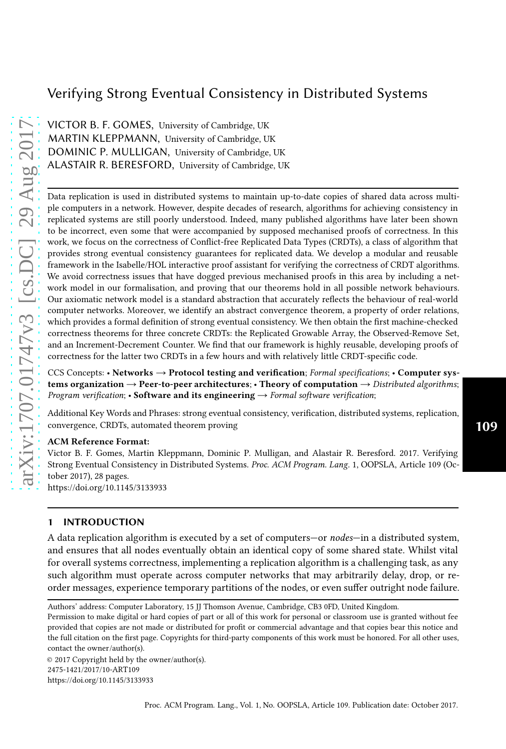VICTOR B. F. GOMES, University of Cambridge, UK MARTIN KLEPPMANN, University of Cambridge, UK DOMINIC P. MULLIGAN, University of Cambridge, UK ALASTAIR R. BERESFORD, University of Cambridge, UK

Data replication is used in distributed systems to maintain up-to-date copies of shared data across multiple computers in a network. However, despite decades of research, algorithms for achieving consistency in replicated systems are still poorly understood. Indeed, many published algorithms have later been shown to be incorrect, even some that were accompanied by supposed mechanised proofs of correctness. In this work, we focus on the correctness of Conflict-free Replicated Data Types (CRDTs), a class of algorithm that provides strong eventual consistency guarantees for replicated data. We develop a modular and reusable framework in the Isabelle/HOL interactive proof assistant for verifying the correctness of CRDT algorithms. We avoid correctness issues that have dogged previous mechanised proofs in this area by including a network model in our formalisation, and proving that our theorems hold in all possible network behaviours. Our axiomatic network model is a standard abstraction that accurately reflects the behaviour of real-world computer networks. Moreover, we identify an abstract convergence theorem, a property of order relations, which provides a formal definition of strong eventual consistency. We then obtain the first machine-checked correctness theorems for three concrete CRDTs: the Replicated Growable Array, the Observed-Remove Set, and an Increment-Decrement Counter. We find that our framework is highly reusable, developing proofs of correctness for the latter two CRDTs in a few hours and with relatively little CRDT-specific code.

CCS Concepts: • Networks  $\rightarrow$  Protocol testing and verification; Formal specifications; • Computer systems organization  $\rightarrow$  Peer-to-peer architectures; • Theory of computation  $\rightarrow$  Distributed algorithms; Program verification; • Software and its engineering  $\rightarrow$  Formal software verification;

Additional Key Words and Phrases: strong eventual consistency, verification, distributed systems, replication, convergence, CRDTs, automated theorem proving

#### ACM Reference Format:

Victor B. F. Gomes, Martin Kleppmann, Dominic P. Mulligan, and Alastair R. Beresford. 2017. Verifying Strong Eventual Consistency in Distributed Systems. Proc. ACM Program. Lang. 1, OOPSLA, Article 109 (October 2017), [28](#page-27-0) pages.

<https://doi.org/10.1145/3133933>

#### 1 INTRODUCTION

A data replication algorithm is executed by a set of computers—or nodes—in a distributed system, and ensures that all nodes eventually obtain an identical copy of some shared state. Whilst vital for overall systems correctness, implementing a replication algorithm is a challenging task, as any such algorithm must operate across computer networks that may arbitrarily delay, drop, or reorder messages, experience temporary partitions of the nodes, or even suffer outright node failure.

Authors' address: Computer Laboratory, 15 JJ Thomson Avenue, Cambridge, CB3 0FD, United Kingdom.

Permission to make digital or hard copies of part or all of this work for personal or classroom use is granted without fee provided that copies are not made or distributed for profit or commercial advantage and that copies bear this notice and the full citation on the first page. Copyrights for third-party components of this work must be honored. For all other uses, contact the owner/author(s).

<sup>© 2017</sup> Copyright held by the owner/author(s). 2475-1421/2017/10-ART109 <https://doi.org/10.1145/3133933>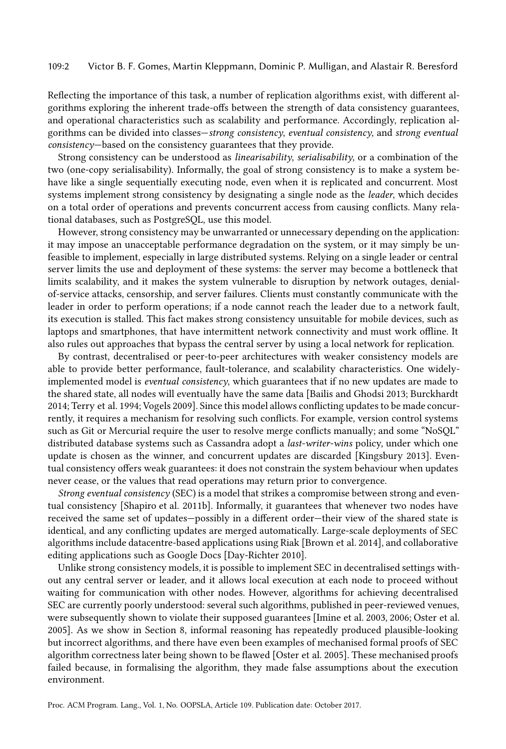#### 109:2 Victor B. F. Gomes, Martin Kleppmann, Dominic P. Mulligan, and Alastair R. Beresford

Reflecting the importance of this task, a number of replication algorithms exist, with different algorithms exploring the inherent trade-offs between the strength of data consistency guarantees, and operational characteristics such as scalability and performance. Accordingly, replication algorithms can be divided into classes—strong consistency, eventual consistency, and strong eventual consistency—based on the consistency guarantees that they provide.

Strong consistency can be understood as linearisability, serialisability, or a combination of the two (one-copy serialisability). Informally, the goal of strong consistency is to make a system behave like a single sequentially executing node, even when it is replicated and concurrent. Most systems implement strong consistency by designating a single node as the *leader*, which decides on a total order of operations and prevents concurrent access from causing conflicts. Many relational databases, such as PostgreSQL, use this model.

However, strong consistency may be unwarranted or unnecessary depending on the application: it may impose an unacceptable performance degradation on the system, or it may simply be unfeasible to implement, especially in large distributed systems. Relying on a single leader or central server limits the use and deployment of these systems: the server may become a bottleneck that limits scalability, and it makes the system vulnerable to disruption by network outages, denialof-service attacks, censorship, and server failures. Clients must constantly communicate with the leader in order to perform operations; if a node cannot reach the leader due to a network fault, its execution is stalled. This fact makes strong consistency unsuitable for mobile devices, such as laptops and smartphones, that have intermittent network connectivity and must work offline. It also rules out approaches that bypass the central server by using a local network for replication.

By contrast, decentralised or peer-to-peer architectures with weaker consistency models are able to provide better performance, fault-tolerance, and scalability characteristics. One widelyimplemented model is *eventual consistency*, which guarantees that if no new updates are made to the shared state, all nodes will eventually have the same data [\[Bailis and Ghodsi 2013;](#page-24-0) [Burckhardt](#page-24-1) [2014;](#page-24-1) [Terry et al. 1994](#page-27-1); [Vogels 2009\]](#page-27-2). Since this model allows conflicting updates to be made concurrently, it requires a mechanism for resolving such conflicts. For example, version control systems such as Git or Mercurial require the user to resolve merge conflicts manually; and some "NoSQL" distributed database systems such as Cassandra adopt a *last-writer-wins* policy, under which one update is chosen as the winner, and concurrent updates are discarded [\[Kingsbury 2013](#page-25-0)]. Eventual consistency offers weak guarantees: it does not constrain the system behaviour when updates never cease, or the values that read operations may return prior to convergence.

Strong eventual consistency (SEC) is a model that strikes a compromise between strong and eventual consistency [\[Shapiro et al. 2011b\]](#page-26-0). Informally, it guarantees that whenever two nodes have received the same set of updates—possibly in a different order—their view of the shared state is identical, and any conflicting updates are merged automatically. Large-scale deployments of SEC algorithms include datacentre-based applications using Riak [\[Brown et al. 2014](#page-24-2)], and collaborative editing applications such as Google Docs [\[Day-Richter 2010\]](#page-24-3).

Unlike strong consistency models, it is possible to implement SEC in decentralised settings without any central server or leader, and it allows local execution at each node to proceed without waiting for communication with other nodes. However, algorithms for achieving decentralised SEC are currently poorly understood: several such algorithms, published in peer-reviewed venues, were subsequently shown to violate their supposed guarantees [\[Imine et al. 2003](#page-25-1), [2006](#page-25-2); [Oster et al.](#page-26-1) [2005\]](#page-26-1). As we show in Section [8,](#page-19-0) informal reasoning has repeatedly produced plausible-looking but incorrect algorithms, and there have even been examples of mechanised formal proofs of SEC algorithm correctness later being shown to be flawed [\[Oster et al. 2005\]](#page-26-1). These mechanised proofs failed because, in formalising the algorithm, they made false assumptions about the execution environment.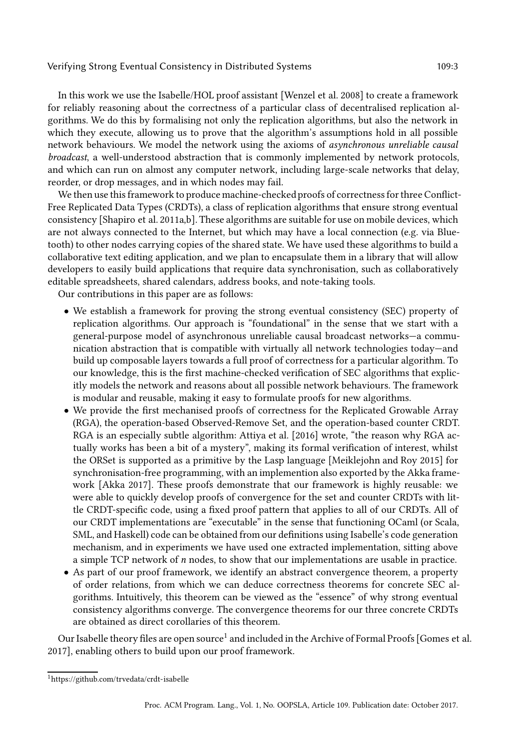In this work we use the Isabelle/HOL proof assistant [Wenzel et al. 2008] to create a framework for reliably reasoning about the correctness of a particular class of decentralised replication algorithms. We do this by formalising not only the replication algorithms, but also the network in which they execute, allowing us to prove that the algorithm's assumptions hold in all possible network behaviours. We model the network using the axioms of asynchronous unreliable causal broadcast, a well-understood abstraction that is commonly implemented by network protocols, and which can run on almost any computer network, including large-scale networks that delay, reorder, or drop messages, and in which nodes may fail.

We then use this framework to produce machine-checked proofs of correctness for three Conflict-Free Replicated Data Types (CRDTs), a class of replication algorithms that ensure strong eventual consistency [\[Shapiro et al. 2011a](#page-26-2)[,b\]](#page-26-0). These algorithms are suitable for use on mobile devices, which are not always connected to the Internet, but which may have a local connection (e.g. via Bluetooth) to other nodes carrying copies of the shared state. We have used these algorithms to build a collaborative text editing application, and we plan to encapsulate them in a library that will allow developers to easily build applications that require data synchronisation, such as collaboratively editable spreadsheets, shared calendars, address books, and note-taking tools.

Our contributions in this paper are as follows:

- We establish a framework for proving the strong eventual consistency (SEC) property of replication algorithms. Our approach is "foundational" in the sense that we start with a general-purpose model of asynchronous unreliable causal broadcast networks—a communication abstraction that is compatible with virtually all network technologies today—and build up composable layers towards a full proof of correctness for a particular algorithm. To our knowledge, this is the first machine-checked verification of SEC algorithms that explicitly models the network and reasons about all possible network behaviours. The framework is modular and reusable, making it easy to formulate proofs for new algorithms.
- We provide the first mechanised proofs of correctness for the Replicated Growable Array (RGA), the operation-based Observed-Remove Set, and the operation-based counter CRDT. RGA is an especially subtle algorithm: [Attiya et al. \[2016\]](#page-24-4) wrote, "the reason why RGA actually works has been a bit of a mystery", making its formal verification of interest, whilst the ORSet is supported as a primitive by the Lasp language [Meiklejohn and Roy 2015] for synchronisation-free programming, with an implemention also exported by the Akka framework [\[Akka 2017\]](#page-24-5). These proofs demonstrate that our framework is highly reusable: we were able to quickly develop proofs of convergence for the set and counter CRDTs with little CRDT-specific code, using a fixed proof pattern that applies to all of our CRDTs. All of our CRDT implementations are "executable" in the sense that functioning OCaml (or Scala, SML, and Haskell) code can be obtained from our definitions using Isabelle's code generation mechanism, and in experiments we have used one extracted implementation, sitting above a simple TCP network of n nodes, to show that our implementations are usable in practice.
- As part of our proof framework, we identify an abstract convergence theorem, a property of order relations, from which we can deduce correctness theorems for concrete SEC algorithms. Intuitively, this theorem can be viewed as the "essence" of why strong eventual consistency algorithms converge. The convergence theorems for our three concrete CRDTs are obtained as direct corollaries of this theorem.

Our Isabelle theory files are open source<sup>1</sup> and included in the Archive of Formal Proofs [\[Gomes et al.](#page-25-3) [2017\]](#page-25-3), enabling others to build upon our proof framework.

<sup>1</sup><https://github.com/trvedata/crdt-isabelle>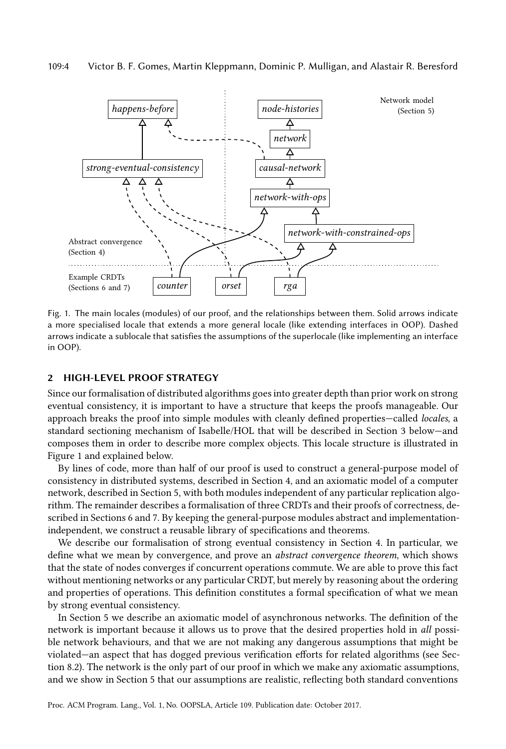<span id="page-3-0"></span>

Fig. 1. The main locales (modules) of our proof, and the relationships between them. Solid arrows indicate a more specialised locale that extends a more general locale (like extending interfaces in OOP). Dashed arrows indicate a sublocale that satisfies the assumptions of the superlocale (like implementing an interface in OOP).

#### 2 HIGH-LEVEL PROOF STRATEGY

Since our formalisation of distributed algorithms goes into greater depth than prior work on strong eventual consistency, it is important to have a structure that keeps the proofs manageable. Our approach breaks the proof into simple modules with cleanly defined properties—called locales, a standard sectioning mechanism of Isabelle/HOL that will be described in Section [3](#page-4-0) below—and composes them in order to describe more complex objects. This locale structure is illustrated in Figure [1](#page-3-0) and explained below.

By lines of code, more than half of our proof is used to construct a general-purpose model of consistency in distributed systems, described in Section [4,](#page-6-0) and an axiomatic model of a computer network, described in Section [5,](#page-9-0) with both modules independent of any particular replication algorithm. The remainder describes a formalisation of three CRDTs and their proofs of correctness, described in Sections [6](#page-13-0) and [7.](#page-16-0) By keeping the general-purpose modules abstract and implementationindependent, we construct a reusable library of specifications and theorems.

We describe our formalisation of strong eventual consistency in Section [4.](#page-6-0) In particular, we define what we mean by convergence, and prove an abstract convergence theorem, which shows that the state of nodes converges if concurrent operations commute. We are able to prove this fact without mentioning networks or any particular CRDT, but merely by reasoning about the ordering and properties of operations. This definition constitutes a formal specification of what we mean by strong eventual consistency.

In Section [5](#page-9-0) we describe an axiomatic model of asynchronous networks. The definition of the network is important because it allows us to prove that the desired properties hold in all possible network behaviours, and that we are not making any dangerous assumptions that might be violated—an aspect that has dogged previous verification efforts for related algorithms (see Section [8.2\)](#page-21-0). The network is the only part of our proof in which we make any axiomatic assumptions, and we show in Section [5](#page-9-0) that our assumptions are realistic, reflecting both standard conventions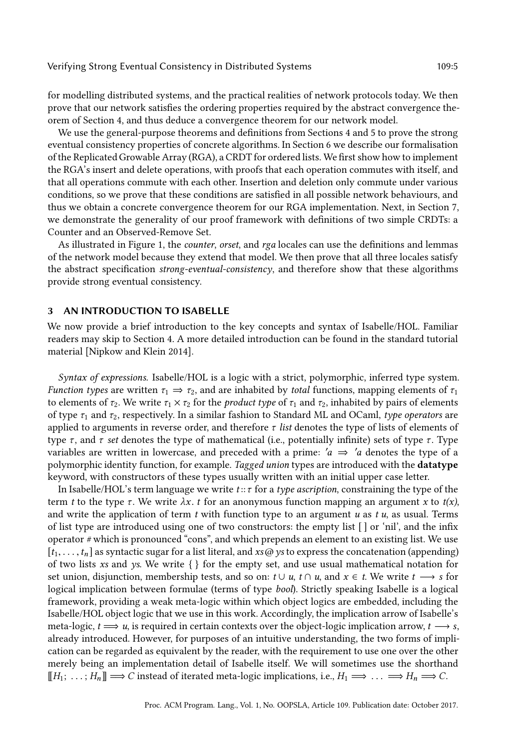for modelling distributed systems, and the practical realities of network protocols today. We then prove that our network satisfies the ordering properties required by the abstract convergence theorem of Section [4,](#page-6-0) and thus deduce a convergence theorem for our network model.

We use the general-purpose theorems and definitions from Sections [4](#page-6-0) and [5](#page-9-0) to prove the strong eventual consistency properties of concrete algorithms. In Section [6](#page-13-0) we describe our formalisation of the Replicated Growable Array (RGA), a CRDT for ordered lists. We first show how to implement the RGA's insert and delete operations, with proofs that each operation commutes with itself, and that all operations commute with each other. Insertion and deletion only commute under various conditions, so we prove that these conditions are satisfied in all possible network behaviours, and thus we obtain a concrete convergence theorem for our RGA implementation. Next, in Section [7,](#page-16-0) we demonstrate the generality of our proof framework with definitions of two simple CRDTs: a Counter and an Observed-Remove Set.

As illustrated in Figure [1,](#page-3-0) the counter, orset, and rga locales can use the definitions and lemmas of the network model because they extend that model. We then prove that all three locales satisfy the abstract specification strong-eventual-consistency, and therefore show that these algorithms provide strong eventual consistency.

# <span id="page-4-0"></span>3 AN INTRODUCTION TO ISABELLE

We now provide a brief introduction to the key concepts and syntax of Isabelle/HOL. Familiar readers may skip to Section [4.](#page-6-0) A more detailed introduction can be found in the standard tutorial material [Nipkow and Klein 2014].

Syntax of expressions. Isabelle/HOL is a logic with a strict, polymorphic, inferred type system. *Function types* are written  $\tau_1 \Rightarrow \tau_2$ , and are inhabited by *total* functions, mapping elements of  $\tau_1$ to elements of  $\tau_2$ . We write  $\tau_1 \times \tau_2$  for the *product type* of  $\tau_1$  and  $\tau_2$ , inhabited by pairs of elements of type  $\tau_1$  and  $\tau_2$ , respectively. In a similar fashion to Standard ML and OCaml, type operators are applied to arguments in reverse order, and therefore  $\tau$  list denotes the type of lists of elements of type  $\tau$ , and  $\tau$  set denotes the type of mathematical (i.e., potentially infinite) sets of type  $\tau$ . Type variables are written in lowercase, and preceded with a prime:  $'a \Rightarrow 'a$  denotes the type of a polymorphic identity function, for example. Tagged union types are introduced with the datatype keyword, with constructors of these types usually written with an initial upper case letter.

In Isabelle/HOL's term language we write  $t$ ::  $\tau$  for a type ascription, constraining the type of the term t to the type  $\tau$ . We write  $\lambda x$ . t for an anonymous function mapping an argument x to  $t(x)$ , and write the application of term  $t$  with function type to an argument  $u$  as  $t u$ , as usual. Terms of list type are introduced using one of two constructors: the empty list [ ] or 'nil', and the infix operator # which is pronounced "cons", and which prepends an element to an existing list. We use  $[t_1, \ldots, t_n]$  as syntactic sugar for a list literal, and xs@ys to express the concatenation (appending) of two lists xs and ys. We write  $\{\}\$ for the empty set, and use usual mathematical notation for set union, disjunction, membership tests, and so on:  $t \cup u$ ,  $t \cap u$ , and  $x \in t$ . We write  $t \longrightarrow s$  for logical implication between formulae (terms of type bool). Strictly speaking Isabelle is a logical framework, providing a weak meta-logic within which object logics are embedded, including the Isabelle/HOL object logic that we use in this work. Accordingly, the implication arrow of Isabelle's meta-logic,  $t \rightarrow u$ , is required in certain contexts over the object-logic implication arrow,  $t \rightarrow s$ , already introduced. However, for purposes of an intuitive understanding, the two forms of implication can be regarded as equivalent by the reader, with the requirement to use one over the other merely being an implementation detail of Isabelle itself. We will sometimes use the shorthand  $[[H_1; \ldots; H_n]] \Longrightarrow C$  instead of iterated meta-logic implications, i.e.,  $H_1 \Longrightarrow \ldots \Longrightarrow H_n \Longrightarrow C$ .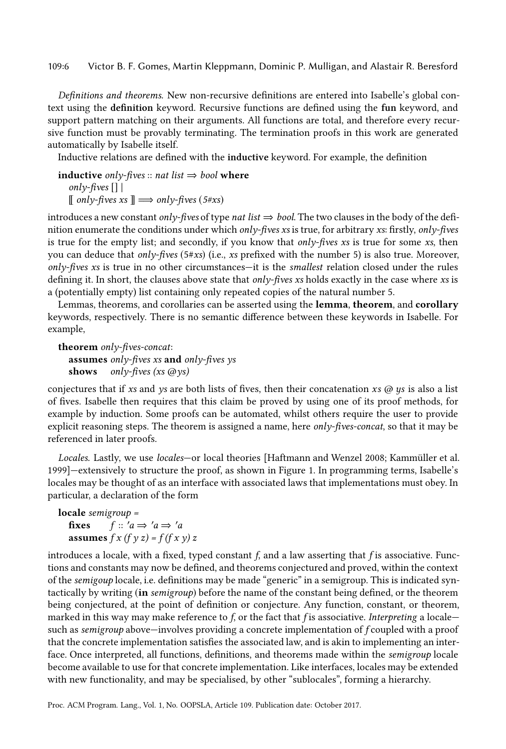Definitions and theorems. New non-recursive definitions are entered into Isabelle's global context using the definition keyword. Recursive functions are defined using the fun keyword, and support pattern matching on their arguments. All functions are total, and therefore every recursive function must be provably terminating. The termination proofs in this work are generated automatically by Isabelle itself.

Inductive relations are defined with the inductive keyword. For example, the definition

**inductive** only-fives :: nat list  $\Rightarrow$  bool where only-fives [] |  $\parallel$  only-fives xs  $\parallel$  ⇒ only-fives (5#xs)

introduces a new constant *only-fives* of type *nat list*  $\Rightarrow$  *bool*. The two clauses in the body of the definition enumerate the conditions under which *only-fives* xs is true, for arbitrary xs: firstly, *only-fives* is true for the empty list; and secondly, if you know that  $\frac{only-fives}{xs}$  is true for some xs, then you can deduce that only-fives  $(5#xs)$  (i.e., xs prefixed with the number 5) is also true. Moreover, only-fives xs is true in no other circumstances—it is the smallest relation closed under the rules defining it. In short, the clauses above state that  $only$ -fives xs holds exactly in the case where xs is a (potentially empty) list containing only repeated copies of the natural number 5.

Lemmas, theorems, and corollaries can be asserted using the lemma, theorem, and corollary keywords, respectively. There is no semantic difference between these keywords in Isabelle. For example,

theorem only-fives-concat: assumes only-fives xs and only-fives ys shows only-fives  $(xs \oslash ys)$ 

conjectures that if xs and ys are both lists of fives, then their concatenation xs  $\omega$  ys is also a list of fives. Isabelle then requires that this claim be proved by using one of its proof methods, for example by induction. Some proofs can be automated, whilst others require the user to provide explicit reasoning steps. The theorem is assigned a name, here  $only$ -fives-concat, so that it may be referenced in later proofs.

Locales. Lastly, we use locales—or local theories [Haftmann and Wenzel 2008; Kammüller et al. 1999]—extensively to structure the proof, as shown in Figure [1.](#page-3-0) In programming terms, Isabelle's locales may be thought of as an interface with associated laws that implementations must obey. In particular, a declaration of the form

locale semigroup = fixes  $f :: 'a \Rightarrow 'a \Rightarrow 'a$ assumes  $f x (f y z) = f(f x y) z$ 

introduces a locale, with a fixed, typed constant  $f$ , and a law asserting that  $f$  is associative. Functions and constants may now be defined, and theorems conjectured and proved, within the context of the semigoup locale, i.e. definitions may be made "generic" in a semigroup. This is indicated syntactically by writing (in semigroup) before the name of the constant being defined, or the theorem being conjectured, at the point of definition or conjecture. Any function, constant, or theorem, marked in this way may make reference to f, or the fact that f is associative. Interpreting a locale such as *semigroup* above—involves providing a concrete implementation of f coupled with a proof that the concrete implementation satisfies the associated law, and is akin to implementing an interface. Once interpreted, all functions, definitions, and theorems made within the semigroup locale become available to use for that concrete implementation. Like interfaces, locales may be extended with new functionality, and may be specialised, by other "sublocales", forming a hierarchy.

Proc. ACM Program. Lang., Vol. 1, No. OOPSLA, Article 109. Publication date: October 2017.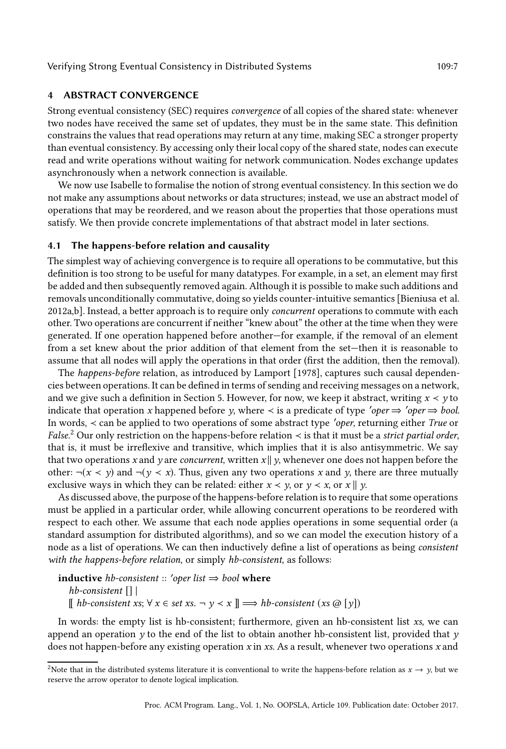### <span id="page-6-0"></span>4 ABSTRACT CONVERGENCE

Strong eventual consistency (SEC) requires convergence of all copies of the shared state: whenever two nodes have received the same set of updates, they must be in the same state. This definition constrains the values that read operations may return at any time, making SEC a stronger property than eventual consistency. By accessing only their local copy of the shared state, nodes can execute read and write operations without waiting for network communication. Nodes exchange updates asynchronously when a network connection is available.

We now use Isabelle to formalise the notion of strong eventual consistency. In this section we do not make any assumptions about networks or data structures; instead, we use an abstract model of operations that may be reordered, and we reason about the properties that those operations must satisfy. We then provide concrete implementations of that abstract model in later sections.

#### <span id="page-6-1"></span>4.1 The happens-before relation and causality

The simplest way of achieving convergence is to require all operations to be commutative, but this definition is too strong to be useful for many datatypes. For example, in a set, an element may first be added and then subsequently removed again. Although it is possible to make such additions and removals unconditionally commutative, doing so yields counter-intuitive semantics [\[Bieniusa et al.](#page-24-6) [2012a](#page-24-6)[,b\]](#page-24-7). Instead, a better approach is to require only concurrent operations to commute with each other. Two operations are concurrent if neither "knew about" the other at the time when they were generated. If one operation happened before another—for example, if the removal of an element from a set knew about the prior addition of that element from the set—then it is reasonable to assume that all nodes will apply the operations in that order (first the addition, then the removal).

The happens-before relation, as introduced by [Lamport \[1978\]](#page-25-4), captures such causal dependencies between operations. It can be defined in terms of sending and receiving messages on a network, and we give such a definition in Section [5.](#page-9-0) However, for now, we keep it abstract, writing  $x \lt y$  to indicate that operation x happened before y, where  $\prec$  is a predicate of type 'oper  $\Rightarrow$  'oper  $\Rightarrow$  bool. In words, ≺ can be applied to two operations of some abstract type *'oper*, returning either *True* or False.<sup>2</sup> Our only restriction on the happens-before relation  $\prec$  is that it must be a strict partial order, that is, it must be irreflexive and transitive, which implies that it is also antisymmetric. We say that two operations x and y are *concurrent*, written x  $\| \mathbf{y}$ , whenever one does not happen before the other:  $\neg(x \le y)$  and  $\neg(y \le x)$ . Thus, given any two operations x and y, there are three mutually exclusive ways in which they can be related: either  $x \prec y$ , or  $y \prec x$ , or  $x \parallel y$ .

As discussed above, the purpose of the happens-before relation is to require that some operations must be applied in a particular order, while allowing concurrent operations to be reordered with respect to each other. We assume that each node applies operations in some sequential order (a standard assumption for distributed algorithms), and so we can model the execution history of a node as a list of operations. We can then inductively define a list of operations as being consistent with the happens-before relation, or simply hb-consistent, as follows:

inductive  $hb$ -consistent :: 'oper list  $\Rightarrow$  bool where hb-consistent [] |  $[[$  hb-consistent xs;  $\forall x \in set \ xs. \neg y \prec x \ || \Longrightarrow$  hb-consistent  $(xs \oslash [y])$ 

In words: the empty list is hb-consistent; furthermore, given an hb-consistent list xs, we can append an operation  $y$  to the end of the list to obtain another hb-consistent list, provided that  $y$ does not happen-before any existing operation  $x$  in  $xs$ . As a result, whenever two operations  $x$  and

<sup>&</sup>lt;sup>2</sup>Note that in the distributed systems literature it is conventional to write the happens-before relation as  $x \to y$ , but we reserve the arrow operator to denote logical implication.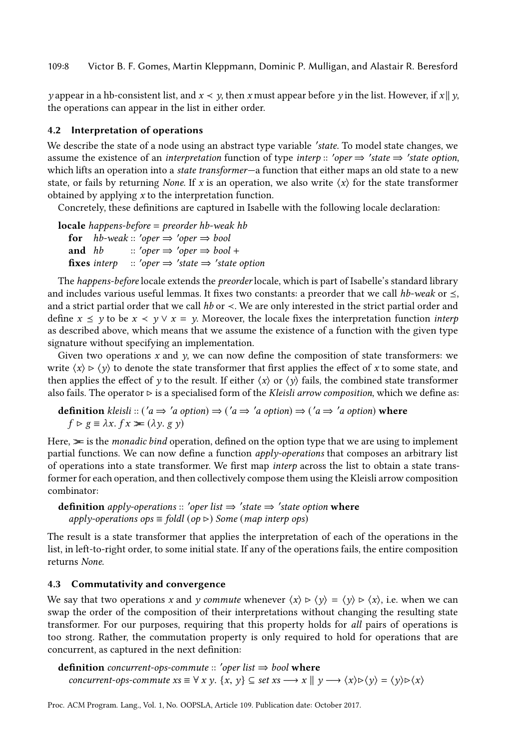109:8 Victor B. F. Gomes, Martin Kleppmann, Dominic P. Mulligan, and Alastair R. Beresford

y appear in a hb-consistent list, and  $x \le y$ , then x must appear before y in the list. However, if  $x \parallel y$ , the operations can appear in the list in either order.

### <span id="page-7-0"></span>4.2 Interpretation of operations

We describe the state of a node using an abstract type variable 'state. To model state changes, we assume the existence of an *interpretation* function of type *interp* :: 'oper  $\Rightarrow$  'state  $\Rightarrow$  'state option, which lifts an operation into a *state transformer*—a function that either maps an old state to a new state, or fails by returning *None*. If x is an operation, we also write  $\langle x \rangle$  for the state transformer obtained by applying  $x$  to the interpretation function.

Concretely, these definitions are captured in Isabelle with the following locale declaration:

locale happens-before = preorder hb-weak hb for  $hb$ -weak :: 'oper  $\Rightarrow$  'oper  $\Rightarrow$  bool and  $hb$  $\overline{oper} \Rightarrow \overline{oper} \Rightarrow \overline{bool} +$ fixes interp  $\therefore$  'oper  $\Rightarrow$  'state  $\Rightarrow$  'state option

The *happens-before* locale extends the *preorder* locale, which is part of Isabelle's standard library and includes various useful lemmas. It fixes two constants: a preorder that we call  $hb$ -weak or  $\leq$ , and a strict partial order that we call hb or ≺. We are only interested in the strict partial order and define  $x \leq y$  to be  $x \leq y \vee x = y$ . Moreover, the locale fixes the interpretation function *interp* as described above, which means that we assume the existence of a function with the given type signature without specifying an implementation.

Given two operations x and  $y$ , we can now define the composition of state transformers: we write  $\langle x \rangle \triangleright \langle y \rangle$  to denote the state transformer that first applies the effect of x to some state, and then applies the effect of y to the result. If either  $\langle x \rangle$  or  $\langle y \rangle$  fails, the combined state transformer also fails. The operator ⊳ is a specialised form of the Kleisli arrow composition, which we define as:

```
definition kleisli :: ('a \Rightarrow 'a option) \Rightarrow ('a \Rightarrow 'a option) \Rightarrow ('a \Rightarrow 'a option) where
   f \triangleright g \equiv \lambda x. f x \not\equiv (\lambda y. g y)
```
Here,  $\geq$  is the *monadic bind* operation, defined on the option type that we are using to implement partial functions. We can now define a function apply-operations that composes an arbitrary list of operations into a state transformer. We first map interp across the list to obtain a state transformer for each operation, and then collectively compose them using the Kleisli arrow composition combinator:

**definition** apply-operations :: 'oper list  $\Rightarrow$  'state  $\Rightarrow$  'state option where apply-operations ops  $\equiv$  foldl (op  $\triangleright$ ) Some (map interp ops)

The result is a state transformer that applies the interpretation of each of the operations in the list, in left-to-right order, to some initial state. If any of the operations fails, the entire composition returns None.

### <span id="page-7-1"></span>4.3 Commutativity and convergence

We say that two operations x and y commute whenever  $\langle x \rangle \triangleright \langle y \rangle = \langle y \rangle \triangleright \langle x \rangle$ , i.e. when we can swap the order of the composition of their interpretations without changing the resulting state transformer. For our purposes, requiring that this property holds for all pairs of operations is too strong. Rather, the commutation property is only required to hold for operations that are concurrent, as captured in the next definition:

**definition** concurrent-ops-commute :: 'oper list  $\Rightarrow$  bool where concurrent-ops-commute  $xs \equiv \forall x y. \{x, y\} \subseteq set xs \longrightarrow x \parallel y \longrightarrow \langle x \rangle \triangleright \langle y \rangle = \langle y \rangle \triangleright \langle x \rangle$ 

Proc. ACM Program. Lang., Vol. 1, No. OOPSLA, Article 109. Publication date: October 2017.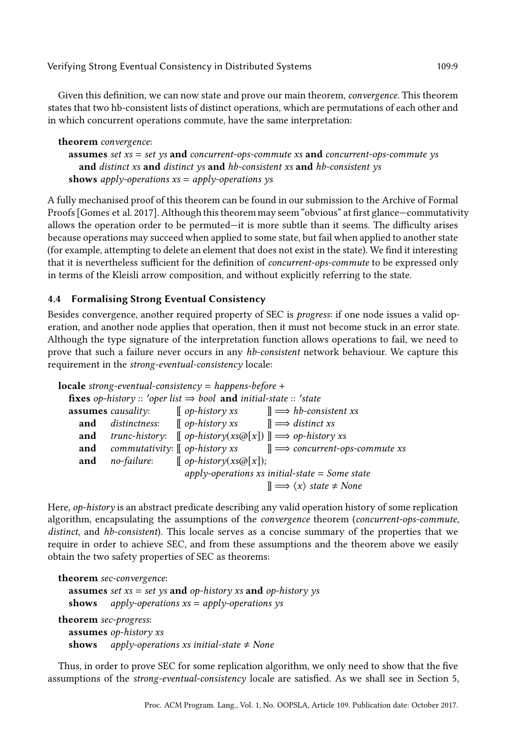Given this definition, we can now state and prove our main theorem, convergence. This theorem states that two hb-consistent lists of distinct operations, which are permutations of each other and in which concurrent operations commute, have the same interpretation:

```
theorem convergence:
  assumes set xs = set ys and concurrent-ops-commute xs and concurrent-ops-commute ys
     and distinct xs and distinct ys and hb-consistent xs and hb-consistent ys
  shows apply-operations xs = apply-operations ys
```
A fully mechanised proof of this theorem can be found in our submission to the Archive of Formal Proofs [\[Gomes et al. 2017](#page-25-3)]. Although this theorem may seem "obvious" at first glance—commutativity allows the operation order to be permuted—it is more subtle than it seems. The difficulty arises because operations may succeed when applied to some state, but fail when applied to another state (for example, attempting to delete an element that does not exist in the state). We find it interesting that it is nevertheless sufficient for the definition of concurrent-ops-commute to be expressed only in terms of the Kleisli arrow composition, and without explicitly referring to the state.

# <span id="page-8-0"></span>4.4 Formalising Strong Eventual Consistency

Besides convergence, another required property of SEC is progress: if one node issues a valid operation, and another node applies that operation, then it must not become stuck in an error state. Although the type signature of the interpretation function allows operations to fail, we need to prove that such a failure never occurs in any hb-consistent network behaviour. We capture this requirement in the strong-eventual-consistency locale:

```
locale strong-eventual-consistency = happens-before +
   fixes op-history :: 'oper list \Rightarrow bool and initial-state :: 'state
   assumes causality: [ [ ] op-history xs ] \implies hb-consistent xs
     and distinctness: \[\] op-history xs \] \implies distinct xs
     and trunc-history: \llbracket op-history(xs@[x]) \rrbracket \Longrightarrow op-history xsand commutativity: \llbracket op-history xs \rrbracket \implies concurrent-ops-commute xs
     and no-failure: \iint op-history(xs@[x]);
                                   apply-operations xs initial-state = Some state
                                                          \mathbb{I} \Longrightarrow \langle x \rangle state \neq None
```
Here, op-history is an abstract predicate describing any valid operation history of some replication algorithm, encapsulating the assumptions of the convergence theorem (concurrent-ops-commute, distinct, and hb-consistent). This locale serves as a concise summary of the properties that we require in order to achieve SEC, and from these assumptions and the theorem above we easily obtain the two safety properties of SEC as theorems:

```
theorem sec-convergence:
  assumes set xs = set ys and op-history xs and op-history ys
  shows apply-operations xs = apply-operations ys
theorem sec-progress:
  assumes op-history xs
  shows apply-operations xs initial-state \neq None
```
Thus, in order to prove SEC for some replication algorithm, we only need to show that the five assumptions of the strong-eventual-consistency locale are satisfied. As we shall see in Section [5,](#page-9-0)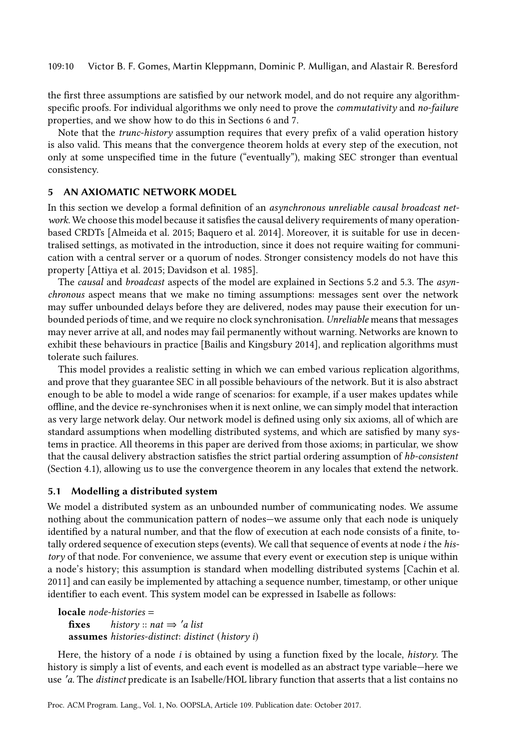109:10 Victor B. F. Gomes, Martin Kleppmann, Dominic P. Mulligan, and Alastair R. Beresford

the first three assumptions are satisfied by our network model, and do not require any algorithmspecific proofs. For individual algorithms we only need to prove the *commutativity* and no-failure properties, and we show how to do this in Sections [6](#page-13-0) and [7.](#page-16-0)

Note that the *trunc-history* assumption requires that every prefix of a valid operation history is also valid. This means that the convergence theorem holds at every step of the execution, not only at some unspecified time in the future ("eventually"), making SEC stronger than eventual consistency.

### <span id="page-9-0"></span>5 AN AXIOMATIC NETWORK MODEL

In this section we develop a formal definition of an asynchronous unreliable causal broadcast network. We choose this model because it satisfies the causal delivery requirements of many operationbased CRDTs [\[Almeida et al. 2015;](#page-24-8) [Baquero et al. 2014\]](#page-24-9). Moreover, it is suitable for use in decentralised settings, as motivated in the introduction, since it does not require waiting for communication with a central server or a quorum of nodes. Stronger consistency models do not have this property [\[Attiya et al. 2015](#page-24-10); [Davidson et al. 1985\]](#page-24-11).

The causal and broadcast aspects of the model are explained in Sections [5.2](#page-10-0) and [5.3.](#page-11-0) The asynchronous aspect means that we make no timing assumptions: messages sent over the network may suffer unbounded delays before they are delivered, nodes may pause their execution for unbounded periods of time, and we require no clock synchronisation. Unreliable means that messages may never arrive at all, and nodes may fail permanently without warning. Networks are known to exhibit these behaviours in practice [\[Bailis and Kingsbury 2014](#page-24-12)], and replication algorithms must tolerate such failures.

This model provides a realistic setting in which we can embed various replication algorithms, and prove that they guarantee SEC in all possible behaviours of the network. But it is also abstract enough to be able to model a wide range of scenarios: for example, if a user makes updates while offline, and the device re-synchronises when it is next online, we can simply model that interaction as very large network delay. Our network model is defined using only six axioms, all of which are standard assumptions when modelling distributed systems, and which are satisfied by many systems in practice. All theorems in this paper are derived from those axioms; in particular, we show that the causal delivery abstraction satisfies the strict partial ordering assumption of hb-consistent (Section [4.1\)](#page-6-1), allowing us to use the convergence theorem in any locales that extend the network.

### 5.1 Modelling a distributed system

We model a distributed system as an unbounded number of communicating nodes. We assume nothing about the communication pattern of nodes—we assume only that each node is uniquely identified by a natural number, and that the flow of execution at each node consists of a finite, totally ordered sequence of execution steps (events). We call that sequence of events at node i the history of that node. For convenience, we assume that every event or execution step is unique within a node's history; this assumption is standard when modelling distributed systems [\[Cachin et al.](#page-24-13) [2011\]](#page-24-13) and can easily be implemented by attaching a sequence number, timestamp, or other unique identifier to each event. This system model can be expressed in Isabelle as follows:

**locale** node-histories  $=$ fixes history ::  $nat \Rightarrow 'a$  list assumes histories-distinct: distinct (history i)

Here, the history of a node i is obtained by using a function fixed by the locale, history. The history is simply a list of events, and each event is modelled as an abstract type variable—here we use 'a. The distinct predicate is an Isabelle/HOL library function that asserts that a list contains no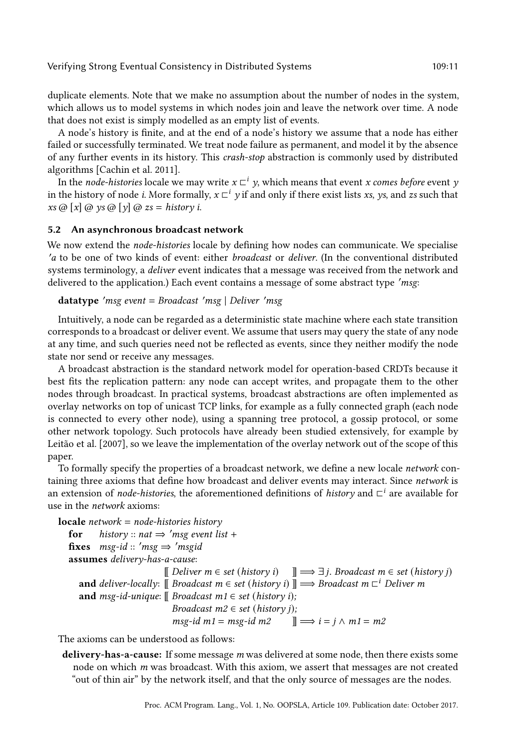duplicate elements. Note that we make no assumption about the number of nodes in the system, which allows us to model systems in which nodes join and leave the network over time. A node that does not exist is simply modelled as an empty list of events.

A node's history is finite, and at the end of a node's history we assume that a node has either failed or successfully terminated. We treat node failure as permanent, and model it by the absence of any further events in its history. This crash-stop abstraction is commonly used by distributed algorithms [\[Cachin et al. 2011\]](#page-24-13).

In the *node-histories* locale we may write  $x\sqsubset^i y$ , which means that event x comes before event y in the history of node *i.* More formally,  $x \sqsubset^i y$  if and only if there exist lists xs, ys, and zs such that  $xs \omega [x] \omega ys \omega [y] \omega zs = history i.$ 

### <span id="page-10-0"></span>5.2 An asynchronous broadcast network

We now extend the *node-histories* locale by defining how nodes can communicate. We specialise ′a to be one of two kinds of event: either broadcast or deliver. (In the conventional distributed systems terminology, a deliver event indicates that a message was received from the network and delivered to the application.) Each event contains a message of some abstract type ′msg:

### datatype 'msg event = Broadcast 'msg | Deliver 'msg

Intuitively, a node can be regarded as a deterministic state machine where each state transition corresponds to a broadcast or deliver event. We assume that users may query the state of any node at any time, and such queries need not be reflected as events, since they neither modify the node state nor send or receive any messages.

A broadcast abstraction is the standard network model for operation-based CRDTs because it best fits the replication pattern: any node can accept writes, and propagate them to the other nodes through broadcast. In practical systems, broadcast abstractions are often implemented as overlay networks on top of unicast TCP links, for example as a fully connected graph (each node is connected to every other node), using a spanning tree protocol, a gossip protocol, or some other network topology. Such protocols have already been studied extensively, for example by [Leitão et al. \[2007](#page-25-5)], so we leave the implementation of the overlay network out of the scope of this paper.

To formally specify the properties of a broadcast network, we define a new locale network containing three axioms that define how broadcast and deliver events may interact. Since network is an extension of *node-histories*, the aforementioned definitions of *history* and  $\Gamma$ <sup>*i*</sup> are available for use in the network axioms:

```
locale network = node-histories history
   for history :: nat \Rightarrow 'msg event list +
   fixes msg-id :: 'msg \Rightarrow 'msgid
   assumes delivery-has-a-cause:
                               \llbracket Deliver m \in set (history i) \rrbracket \implies \exists j. Broadcast m \in set (history j)
      and deliver-locally: \[\ \mathbb{I} Broadcast m \in \mathcal{I} (history i) \]\implies Broadcast m \sqsubset^{i} Deliver m
      and msg-id-unique: \llbracket Broadcast m1 \in set (history i);
                                  Broadcast m2 \in set (history i);
                                  msg-id m1 = msg-id m2 \Box \implies i = j \land m1 = m2
```
The axioms can be understood as follows:

delivery-has-a-cause: If some message m was delivered at some node, then there exists some node on which m was broadcast. With this axiom, we assert that messages are not created "out of thin air" by the network itself, and that the only source of messages are the nodes.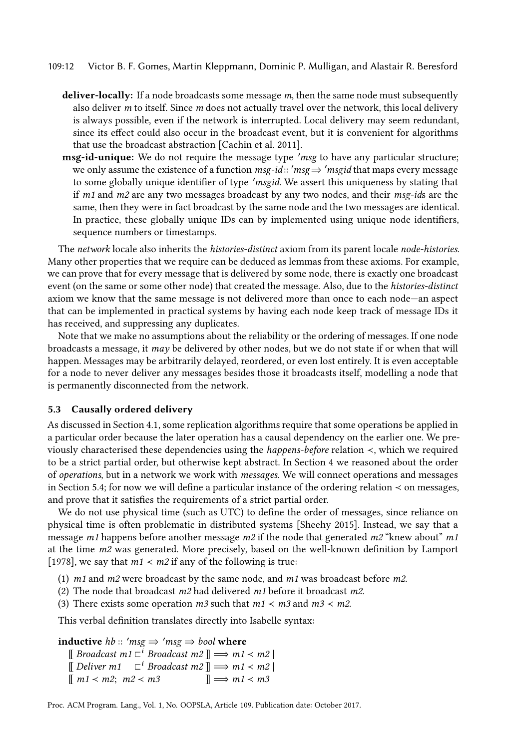#### 109:12 Victor B. F. Gomes, Martin Kleppmann, Dominic P. Mulligan, and Alastair R. Beresford

- deliver-locally: If a node broadcasts some message  $m$ , then the same node must subsequently also deliver  $m$  to itself. Since  $m$  does not actually travel over the network, this local delivery is always possible, even if the network is interrupted. Local delivery may seem redundant, since its effect could also occur in the broadcast event, but it is convenient for algorithms that use the broadcast abstraction [\[Cachin et al. 2011\]](#page-24-13).
- **msg-id-unique:** We do not require the message type 'msg to have any particular structure; we only assume the existence of a function  $msg$ -id::  $'msg \Rightarrow 'msgid$  that maps every message to some globally unique identifier of type 'msgid. We assert this uniqueness by stating that if  $m1$  and  $m2$  are any two messages broadcast by any two nodes, and their msg-ids are the same, then they were in fact broadcast by the same node and the two messages are identical. In practice, these globally unique IDs can by implemented using unique node identifiers, sequence numbers or timestamps.

The network locale also inherits the histories-distinct axiom from its parent locale node-histories. Many other properties that we require can be deduced as lemmas from these axioms. For example, we can prove that for every message that is delivered by some node, there is exactly one broadcast event (on the same or some other node) that created the message. Also, due to the histories-distinct axiom we know that the same message is not delivered more than once to each node—an aspect that can be implemented in practical systems by having each node keep track of message IDs it has received, and suppressing any duplicates.

Note that we make no assumptions about the reliability or the ordering of messages. If one node broadcasts a message, it  $may$  be delivered by other nodes, but we do not state if or when that will happen. Messages may be arbitrarily delayed, reordered, or even lost entirely. It is even acceptable for a node to never deliver any messages besides those it broadcasts itself, modelling a node that is permanently disconnected from the network.

#### <span id="page-11-0"></span>5.3 Causally ordered delivery

As discussed in Section [4.1,](#page-6-1) some replication algorithms require that some operations be applied in a particular order because the later operation has a causal dependency on the earlier one. We previously characterised these dependencies using the happens-before relation ≺, which we required to be a strict partial order, but otherwise kept abstract. In Section [4](#page-6-0) we reasoned about the order of operations, but in a network we work with messages. We will connect operations and messages in Section [5.4;](#page-12-0) for now we will define a particular instance of the ordering relation ≺ on messages, and prove that it satisfies the requirements of a strict partial order.

We do not use physical time (such as UTC) to define the order of messages, since reliance on physical time is often problematic in distributed systems [\[Sheehy 2015\]](#page-26-3). Instead, we say that a message  $m1$  happens before another message  $m2$  if the node that generated  $m2$  "knew about"  $m1$ at the time m2 was generated. More precisely, based on the well-known definition by [Lamport](#page-25-4) [\[1978\]](#page-25-4), we say that  $m1 \lt m2$  if any of the following is true:

- (1)  $m1$  and  $m2$  were broadcast by the same node, and  $m1$  was broadcast before  $m2$ .
- (2) The node that broadcast m2 had delivered m1 before it broadcast m2.
- (3) There exists some operation  $m3$  such that  $m1 < m3$  and  $m3 < m2$ .

This verbal definition translates directly into Isabelle syntax:

inductive hb :: ' $msg \Rightarrow$  ' $msg \Rightarrow$  bool where  $\llbracket$  Broadcast m1  $\sqsubset^i$  Broadcast m2  $\rrbracket \Longrightarrow$  m1 < m2  $\rrbracket$  $\[\ \mathbb{D}$  Deliver m1  $\sqsubset^i$  Broadcast m2  $\]\Longrightarrow$  m1 < m2  $\]$  $\llbracket m1 \prec m2; m2 \prec m3 \rrbracket \Longrightarrow m1 \prec m3$ 

Proc. ACM Program. Lang., Vol. 1, No. OOPSLA, Article 109. Publication date: October 2017.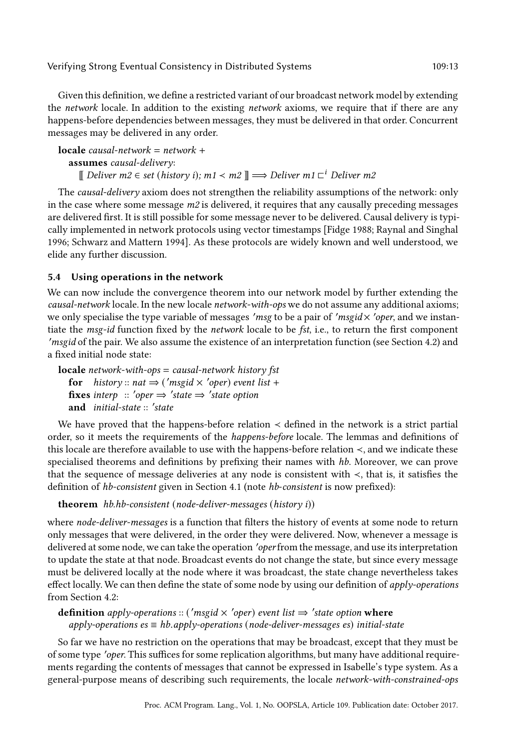Given this definition, we define a restricted variant of our broadcast network model by extending the network locale. In addition to the existing network axioms, we require that if there are any happens-before dependencies between messages, they must be delivered in that order. Concurrent messages may be delivered in any order.

**locale** causal-network = network + assumes causal-delivery: [[ Deliver m2 ∈ set (history i); m1 < m2 ]]  $\implies$  Deliver m1  $\sqsubset$ <sup>i</sup> Deliver m2

The causal-delivery axiom does not strengthen the reliability assumptions of the network: only in the case where some message m2 is delivered, it requires that any causally preceding messages are delivered first. It is still possible for some message never to be delivered. Causal delivery is typically implemented in network protocols using vector timestamps [\[Fidge 1988](#page-25-6); [Raynal and Singhal](#page-26-4) [1996](#page-26-4); [Schwarz and Mattern 1994\]](#page-26-5). As these protocols are widely known and well understood, we elide any further discussion.

### <span id="page-12-0"></span>5.4 Using operations in the network

We can now include the convergence theorem into our network model by further extending the causal-network locale. In the new locale network-with-ops we do not assume any additional axioms; we only specialise the type variable of messages 'msg to be a pair of 'msgid $\times$ 'oper, and we instantiate the *msg-id* function fixed by the *network* locale to be *fst*, i.e., to return the first component ′msgid of the pair. We also assume the existence of an interpretation function (see Section [4.2\)](#page-7-0) and a fixed initial node state:

```
locale network-with-ops = causal-network history fst
   for history :: nat \Rightarrow ('msgid \times 'oper) event list +
   fixes interp :: 'oper \Rightarrow 'state \Rightarrow 'state optionand initial-state :: 'state
```
We have proved that the happens-before relation  $\prec$  defined in the network is a strict partial order, so it meets the requirements of the happens-before locale. The lemmas and definitions of this locale are therefore available to use with the happens-before relation ≺, and we indicate these specialised theorems and definitions by prefixing their names with hb. Moreover, we can prove that the sequence of message deliveries at any node is consistent with ≺, that is, it satisfies the definition of hb-consistent given in Section [4.1](#page-6-1) (note hb-consistent is now prefixed):

# theorem hb.hb-consistent (node-deliver-messages (history i))

where node-deliver-messages is a function that filters the history of events at some node to return only messages that were delivered, in the order they were delivered. Now, whenever a message is delivered at some node, we can take the operation *'oper* from the message, and use its interpretation to update the state at that node. Broadcast events do not change the state, but since every message must be delivered locally at the node where it was broadcast, the state change nevertheless takes effect locally. We can then define the state of some node by using our definition of apply-operations from Section [4.2:](#page-7-0)

# **definition** apply-operations :: ('msgid  $\times$  'oper) event list  $\Rightarrow$  'state option where apply-operations es ≡ hb.apply-operations (node-deliver-messages es) initial-state

So far we have no restriction on the operations that may be broadcast, except that they must be of some type 'oper. This suffices for some replication algorithms, but many have additional requirements regarding the contents of messages that cannot be expressed in Isabelle's type system. As a general-purpose means of describing such requirements, the locale network-with-constrained-ops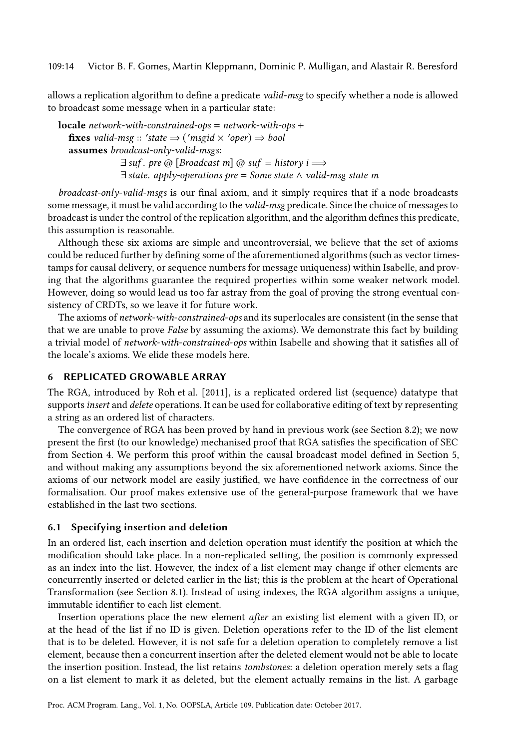109:14 Victor B. F. Gomes, Martin Kleppmann, Dominic P. Mulligan, and Alastair R. Beresford

allows a replication algorithm to define a predicate valid-msg to specify whether a node is allowed to broadcast some message when in a particular state:

**locale** network-with-constrained-ops = network-with-ops + fixes valid-msg :: 'state  $\Rightarrow$  ('msgid  $\times$  'oper)  $\Rightarrow$  bool assumes broadcast-only-valid-msgs:  $\exists$  suf. pre @ [Broadcast m] @ suf = history  $i \Longrightarrow$  $\exists$  state. apply-operations pre = Some state  $\land$  valid-msg state m

broadcast-only-valid-msgs is our final axiom, and it simply requires that if a node broadcasts some message, it must be valid according to the *valid-msg* predicate. Since the choice of messages to broadcast is under the control of the replication algorithm, and the algorithm defines this predicate, this assumption is reasonable.

Although these six axioms are simple and uncontroversial, we believe that the set of axioms could be reduced further by defining some of the aforementioned algorithms (such as vector timestamps for causal delivery, or sequence numbers for message uniqueness) within Isabelle, and proving that the algorithms guarantee the required properties within some weaker network model. However, doing so would lead us too far astray from the goal of proving the strong eventual consistency of CRDTs, so we leave it for future work.

The axioms of network-with-constrained-ops and its superlocales are consistent (in the sense that that we are unable to prove False by assuming the axioms). We demonstrate this fact by building a trivial model of network-with-constrained-ops within Isabelle and showing that it satisfies all of the locale's axioms. We elide these models here.

# <span id="page-13-0"></span>6 REPLICATED GROWABLE ARRAY

The RGA, introduced by [Roh et al. \[2011\]](#page-26-6), is a replicated ordered list (sequence) datatype that supports insert and delete operations. It can be used for collaborative editing of text by representing a string as an ordered list of characters.

The convergence of RGA has been proved by hand in previous work (see Section [8.2\)](#page-21-0); we now present the first (to our knowledge) mechanised proof that RGA satisfies the specification of SEC from Section [4.](#page-6-0) We perform this proof within the causal broadcast model defined in Section [5,](#page-9-0) and without making any assumptions beyond the six aforementioned network axioms. Since the axioms of our network model are easily justified, we have confidence in the correctness of our formalisation. Our proof makes extensive use of the general-purpose framework that we have established in the last two sections.

### 6.1 Specifying insertion and deletion

In an ordered list, each insertion and deletion operation must identify the position at which the modification should take place. In a non-replicated setting, the position is commonly expressed as an index into the list. However, the index of a list element may change if other elements are concurrently inserted or deleted earlier in the list; this is the problem at the heart of Operational Transformation (see Section [8.1\)](#page-20-0). Instead of using indexes, the RGA algorithm assigns a unique, immutable identifier to each list element.

Insertion operations place the new element after an existing list element with a given ID, or at the head of the list if no ID is given. Deletion operations refer to the ID of the list element that is to be deleted. However, it is not safe for a deletion operation to completely remove a list element, because then a concurrent insertion after the deleted element would not be able to locate the insertion position. Instead, the list retains tombstones: a deletion operation merely sets a flag on a list element to mark it as deleted, but the element actually remains in the list. A garbage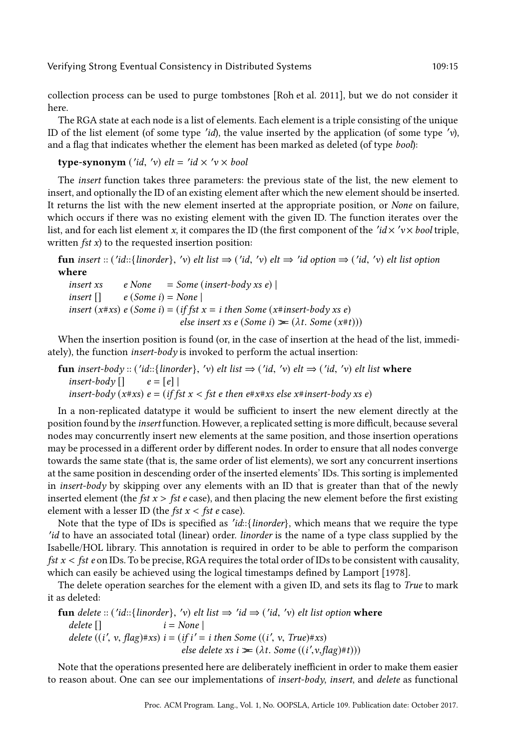collection process can be used to purge tombstones [\[Roh et al.](#page-26-6) [2011](#page-26-6)], but we do not consider it here.

The RGA state at each node is a list of elements. Each element is a triple consisting of the unique ID of the list element (of some type 'id), the value inserted by the application (of some type 'v), and a flag that indicates whether the element has been marked as deleted (of type bool):

# type-synonym ('id, 'v) elt = 'id  $\times$  'v  $\times$  bool

The insert function takes three parameters: the previous state of the list, the new element to insert, and optionally the ID of an existing element after which the new element should be inserted. It returns the list with the new element inserted at the appropriate position, or None on failure, which occurs if there was no existing element with the given ID. The function iterates over the list, and for each list element x, it compares the ID (the first component of the ' $id \times 'v \times bool$  triple, written  $f$ st  $x$ ) to the requested insertion position:

**fun** insert :: ('id::{linorder}, 'v) elt list ⇒ ('id, 'v) elt ⇒ 'id option ⇒ ('id, 'v) elt list option where

insert xs  $e$  None  $=$  Some (insert-body xs e) | insert  $\begin{bmatrix} \cdot & \cdot & \cdot \\ \cdot & \cdot & \cdot \\ \cdot & \cdot & \cdot \end{bmatrix}$ insert (x#xs) e (Some i) = (if fst  $x = i$  then Some (x#insert-body xs e) else insert xs e (Some i)  $\geq (\lambda t. Some(x \# t)))$ 

When the insertion position is found (or, in the case of insertion at the head of the list, immediately), the function *insert-body* is invoked to perform the actual insertion:

fun insert-body :: ('id::{linorder}, 'v) elt list  $\Rightarrow$  ('id, 'v) elt  $\Rightarrow$  ('id, 'v) elt list where insert-body  $\begin{bmatrix} 1 & e \\ e \end{bmatrix}$ insert-body (x#xs)  $e = (if fst x < fst e then e#x#xs else x#insert-body xs e)$ 

In a non-replicated datatype it would be sufficient to insert the new element directly at the position found by the insert function. However, a replicated setting is more difficult, because several nodes may concurrently insert new elements at the same position, and those insertion operations may be processed in a different order by different nodes. In order to ensure that all nodes converge towards the same state (that is, the same order of list elements), we sort any concurrent insertions at the same position in descending order of the inserted elements' IDs. This sorting is implemented in *insert-body* by skipping over any elements with an ID that is greater than that of the newly inserted element (the fst  $x > f$ st e case), and then placing the new element before the first existing element with a lesser ID (the *fst*  $x <$  *fst*  $e$  case).

Note that the type of IDs is specified as 'id::{linorder}, which means that we require the type id to have an associated total (linear) order. linorder is the name of a type class supplied by the Isabelle/HOL library. This annotation is required in order to be able to perform the comparison fst  $x <$  fst e on IDs. To be precise, RGA requires the total order of IDs to be consistent with causality, which can easily be achieved using the logical timestamps defined by [Lamport \[1978\]](#page-25-4).

The delete operation searches for the element with a given ID, and sets its flag to True to mark it as deleted:

**fun** delete :: ('id::{linorder}, 'v) elt list  $\Rightarrow$  'id  $\Rightarrow$  ('id, 'v) elt list option where delete [] i = None | delete  $((i', v, flag) \# xs)$   $i = (if i' = i then Some ((i', v, True) \# xs)$ else delete xs i  $\geq (\lambda t. Some((i', v, flag) \# t)))$ 

Note that the operations presented here are deliberately inefficient in order to make them easier to reason about. One can see our implementations of insert-body, insert, and delete as functional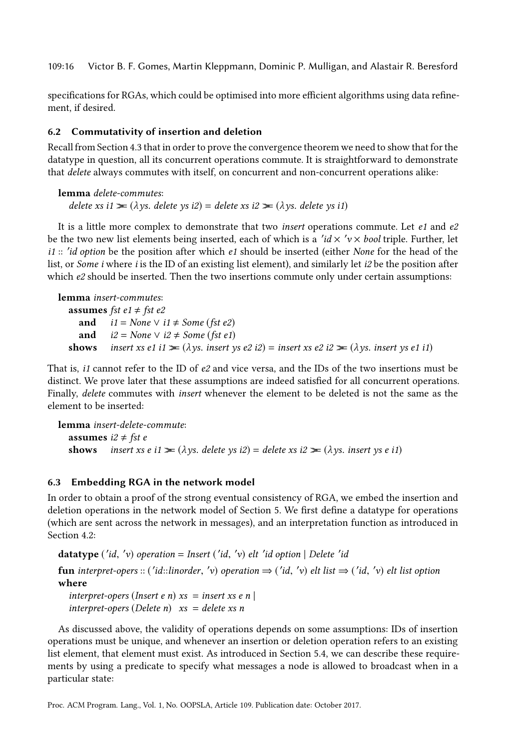109:16 Victor B. F. Gomes, Martin Kleppmann, Dominic P. Mulligan, and Alastair R. Beresford

specifications for RGAs, which could be optimised into more efficient algorithms using data refinement, if desired.

# 6.2 Commutativity of insertion and deletion

Recall from Section [4.3](#page-7-1) that in order to prove the convergence theorem we need to show that for the datatype in question, all its concurrent operations commute. It is straightforward to demonstrate that delete always commutes with itself, on concurrent and non-concurrent operations alike:

lemma delete-commutes: delete xs i1  $\blacktriangleright$  ( $\lambda$ ys. delete ys i2) = delete xs i2  $\blacktriangleright$  ( $\lambda$ ys. delete ys i1)

It is a little more complex to demonstrate that two insert operations commute. Let e1 and e2 be the two new list elements being inserted, each of which is a ' $id \times 'v \times bool$  triple. Further, let i1 :: 'id option be the position after which e1 should be inserted (either None for the head of the list, or *Some i* where *i* is the ID of an existing list element), and similarly let *i2* be the position after which e2 should be inserted. Then the two insertions commute only under certain assumptions:

lemma insert-commutes: assumes fst e1  $\neq$  fst e2 and  $i1 = None \lor i1 \neq Some (fst e2)$ and  $i2 = None \lor i2 \neq Some (fst \text{ } e1)$ shows insert xs e1 i1  $\geq (\lambda ys.$  insert ys e2 i2) = insert xs e2 i2  $\geq (\lambda ys.$  insert ys e1 i1)

That is, *i1* cannot refer to the ID of e2 and vice versa, and the IDs of the two insertions must be distinct. We prove later that these assumptions are indeed satisfied for all concurrent operations. Finally, *delete* commutes with *insert* whenever the element to be deleted is not the same as the element to be inserted:

lemma insert-delete-commute: assumes  $i2 \neq fst e$ shows insert xs e i1  $\geq (\lambda ys)$ . delete ys i2) = delete xs i2  $\geq (\lambda ys)$ . insert ys e i1)

### 6.3 Embedding RGA in the network model

In order to obtain a proof of the strong eventual consistency of RGA, we embed the insertion and deletion operations in the network model of Section [5.](#page-9-0) We first define a datatype for operations (which are sent across the network in messages), and an interpretation function as introduced in Section [4.2:](#page-7-0)

 $\textbf{datatype}$  ('id, 'v) operation = Insert ('id, 'v) elt 'id option | Delete 'id

fun interpret-opers :: ('id::linorder, 'v) operation  $\Rightarrow$  ('id, 'v) elt list  $\Rightarrow$  ('id, 'v) elt list option where interpret-opers (Insert e n)  $xs = insert xs e n$ 

interpret-opers (Delete n)  $xs =$  delete xs n

As discussed above, the validity of operations depends on some assumptions: IDs of insertion operations must be unique, and whenever an insertion or deletion operation refers to an existing list element, that element must exist. As introduced in Section [5.4,](#page-12-0) we can describe these requirements by using a predicate to specify what messages a node is allowed to broadcast when in a particular state:

Proc. ACM Program. Lang., Vol. 1, No. OOPSLA, Article 109. Publication date: October 2017.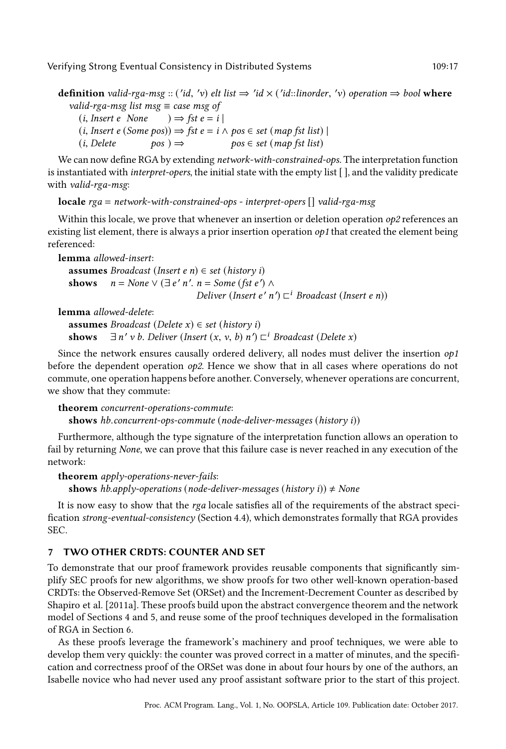**definition** valid-rga-msg :: ('id, 'v) elt list  $\Rightarrow$  'id  $\times$  ('id::linorder, 'v) operation  $\Rightarrow$  bool where valid-rga-msg list msg  $\equiv$  case msg of  $(i, Insert \, e \, None \rightarrow \mathit{fst} \, e = i)$  $(i, Insert\ e(Some pos)) \Rightarrow \text{fst}\ e = i \land pos \in set \ (\text{map}\ \text{fst}\ \text{list})$  $(i, Delete \qquad pos) \Rightarrow \qquad pos \in set (map fat list)$ 

We can now define RGA by extending network-with-constrained-ops. The interpretation function is instantiated with interpret-opers, the initial state with the empty list  $[]$ , and the validity predicate with valid-rga-msg:

**locale**  $rga = network-with-constrained-ops - interpret-opers$  [] valid-rga-msg

Within this locale, we prove that whenever an insertion or deletion operation  $op2$  references an existing list element, there is always a prior insertion operation  $op1$  that created the element being referenced:

lemma allowed-insert:

assumes *Broadcast* (*Insert e n*)  $\in$  *set* (*history i*) shows  $n = None \vee (\exists e' n'. n = Some (fst e') \wedge )$ Deliver (Insert e' n')  $\sqsubset$ <sup>i</sup> Broadcast (Insert e n))

lemma allowed-delete:

assumes *Broadcast* (*Delete x*) ∈ *set* (*history i*) shows ∃ ' v b. Deliver (Insert  $(x, v, b)$  n' $) \sqsubset^{i}$  Broadcast (Delete x)

Since the network ensures causally ordered delivery, all nodes must deliver the insertion op1 before the dependent operation op2. Hence we show that in all cases where operations do not commute, one operation happens before another. Conversely, whenever operations are concurrent, we show that they commute:

theorem concurrent-operations-commute: shows hb.concurrent-ops-commute (node-deliver-messages (history i))

Furthermore, although the type signature of the interpretation function allows an operation to fail by returning None, we can prove that this failure case is never reached in any execution of the network:

theorem apply-operations-never-fails: shows hb.apply-operations (node-deliver-messages (history i))  $\neq$  None

It is now easy to show that the rga locale satisfies all of the requirements of the abstract specification strong-eventual-consistency (Section [4.4\)](#page-8-0), which demonstrates formally that RGA provides SEC.

### <span id="page-16-0"></span>7 TWO OTHER CRDTS: COUNTER AND SET

To demonstrate that our proof framework provides reusable components that significantly simplify SEC proofs for new algorithms, we show proofs for two other well-known operation-based CRDTs: the Observed-Remove Set (ORSet) and the Increment-Decrement Counter as described by [Shapiro et al. \[2011a\]](#page-26-2). These proofs build upon the abstract convergence theorem and the network model of Sections [4](#page-6-0) and [5,](#page-9-0) and reuse some of the proof techniques developed in the formalisation of RGA in Section [6.](#page-13-0)

As these proofs leverage the framework's machinery and proof techniques, we were able to develop them very quickly: the counter was proved correct in a matter of minutes, and the specification and correctness proof of the ORSet was done in about four hours by one of the authors, an Isabelle novice who had never used any proof assistant software prior to the start of this project.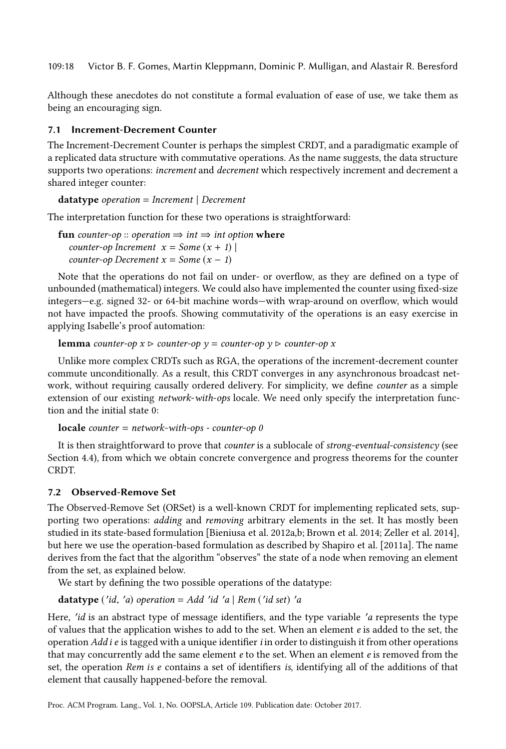109:18 Victor B. F. Gomes, Martin Kleppmann, Dominic P. Mulligan, and Alastair R. Beresford

Although these anecdotes do not constitute a formal evaluation of ease of use, we take them as being an encouraging sign.

### 7.1 Increment-Decrement Counter

The Increment-Decrement Counter is perhaps the simplest CRDT, and a paradigmatic example of a replicated data structure with commutative operations. As the name suggests, the data structure supports two operations: *increment* and *decrement* which respectively increment and decrement a shared integer counter:

datatype operation = Increment | Decrement

The interpretation function for these two operations is straightforward:

fun counter-op :: operation  $\Rightarrow$  int  $\Rightarrow$  int option where counter-op Increment  $x = Some(x + 1)$ counter-op Decrement  $x = Some(x - 1)$ 

Note that the operations do not fail on under- or overflow, as they are defined on a type of unbounded (mathematical) integers. We could also have implemented the counter using fixed-size integers—e.g. signed 32- or 64-bit machine words—with wrap-around on overflow, which would not have impacted the proofs. Showing commutativity of the operations is an easy exercise in applying Isabelle's proof automation:

```
lemma counter-op x ⊳ counter-op y = counter-op y ⊳ counter-op x
```
Unlike more complex CRDTs such as RGA, the operations of the increment-decrement counter commute unconditionally. As a result, this CRDT converges in any asynchronous broadcast network, without requiring causally ordered delivery. For simplicity, we define *counter* as a simple extension of our existing *network-with-ops* locale. We need only specify the interpretation function and the initial state 0:

```
locale counter = network-with-ops - counter-op \theta
```
It is then straightforward to prove that counter is a sublocale of strong-eventual-consistency (see Section [4.4\)](#page-8-0), from which we obtain concrete convergence and progress theorems for the counter CRDT.

### 7.2 Observed-Remove Set

The Observed-Remove Set (ORSet) is a well-known CRDT for implementing replicated sets, supporting two operations: *adding* and *removing* arbitrary elements in the set. It has mostly been studied in its state-based formulation [\[Bieniusa et al. 2012a](#page-24-6)[,b](#page-24-7); [Brown et al. 2014;](#page-24-2) [Zeller et al. 2014\]](#page-27-3), but here we use the operation-based formulation as described by [Shapiro et al. \[2011a\]](#page-26-2). The name derives from the fact that the algorithm "observes" the state of a node when removing an element from the set, as explained below.

We start by defining the two possible operations of the datatype:

datatype ('id, 'a) operation = Add 'id 'a | Rem ('id set) 'a

Here, 'id is an abstract type of message identifiers, and the type variable 'a represents the type of values that the application wishes to add to the set. When an element  $e$  is added to the set, the operation  $Add$  i e is tagged with a unique identifier i in order to distinguish it from other operations that may concurrently add the same element  $e$  to the set. When an element  $e$  is removed from the set, the operation Rem is e contains a set of identifiers is, identifying all of the additions of that element that causally happened-before the removal.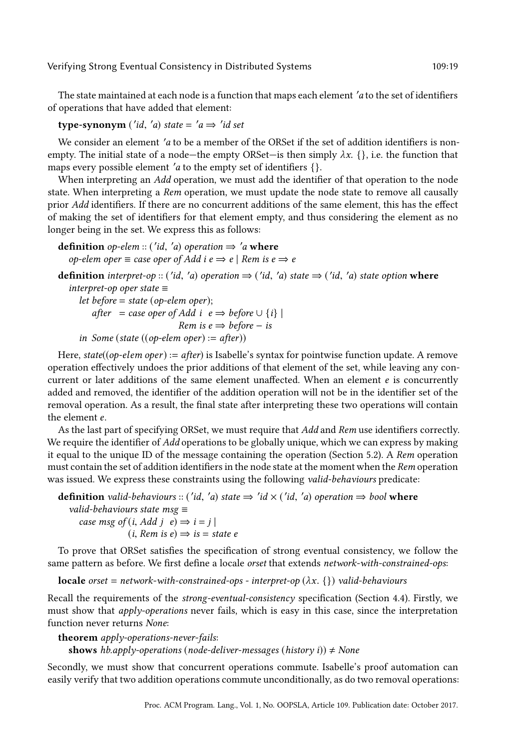The state maintained at each node is a function that maps each element 'a to the set of identifiers of operations that have added that element:

# **type-synonym** ('id, 'a) state = 'a  $\Rightarrow$  'id set

We consider an element 'a to be a member of the ORSet if the set of addition identifiers is nonempty. The initial state of a node—the empty ORSet—is then simply  $\lambda x$ . {}, i.e. the function that maps every possible element 'a to the empty set of identifiers {}.

When interpreting an *Add* operation, we must add the identifier of that operation to the node state. When interpreting a Rem operation, we must update the node state to remove all causally prior Add identifiers. If there are no concurrent additions of the same element, this has the effect of making the set of identifiers for that element empty, and thus considering the element as no longer being in the set. We express this as follows:

definition op-elem :: ('id, 'a) operation  $\Rightarrow$  'a where op-elem oper  $\equiv$  case oper of Add i e  $\Rightarrow$  e | Rem is e  $\Rightarrow$  e

**definition** interpret-op :: ('id, 'a) operation  $\Rightarrow$  ('id, 'a) state  $\Rightarrow$  ('id, 'a) state option where interpret-op oper state ≡

let before  $=$  state (op-elem oper); after = case oper of Add i e  $\Rightarrow$  before ∪ {i} | *Rem* is  $e$   $\Rightarrow$  *before*  $-$  *is* in Some (state  $((op\text{-}elem\;oper) := after))$ 

Here, state((op-elem oper) := after) is Isabelle's syntax for pointwise function update. A remove operation effectively undoes the prior additions of that element of the set, while leaving any concurrent or later additions of the same element unaffected. When an element  $e$  is concurrently added and removed, the identifier of the addition operation will not be in the identifier set of the removal operation. As a result, the final state after interpreting these two operations will contain the element e.

As the last part of specifying ORSet, we must require that Add and Rem use identifiers correctly. We require the identifier of Add operations to be globally unique, which we can express by making it equal to the unique ID of the message containing the operation (Section [5.2\)](#page-10-0). A Rem operation must contain the set of addition identifiers in the node state at the moment when the Rem operation was issued. We express these constraints using the following valid-behaviours predicate:

**definition** valid-behaviours :: ('id, 'a) state  $\Rightarrow$  'id  $\times$  ('id, 'a) operation  $\Rightarrow$  bool where valid-behaviours state msg ≡ case msg of  $(i, Add \, j \, e) \Rightarrow i = j$  $(i, Rem is e) \Rightarrow is = state e$ 

To prove that ORSet satisfies the specification of strong eventual consistency, we follow the same pattern as before. We first define a locale orset that extends network-with-constrained-ops:

**locale** orset = network-with-constrained-ops - interpret-op  $(\lambda x. \{\})$  valid-behaviours

Recall the requirements of the strong-eventual-consistency specification (Section [4.4\)](#page-8-0). Firstly, we must show that *apply-operations* never fails, which is easy in this case, since the interpretation function never returns None:

```
theorem apply-operations-never-fails:
  shows hb.apply-operations (node-deliver-messages (history i)) \neq None
```
Secondly, we must show that concurrent operations commute. Isabelle's proof automation can easily verify that two addition operations commute unconditionally, as do two removal operations: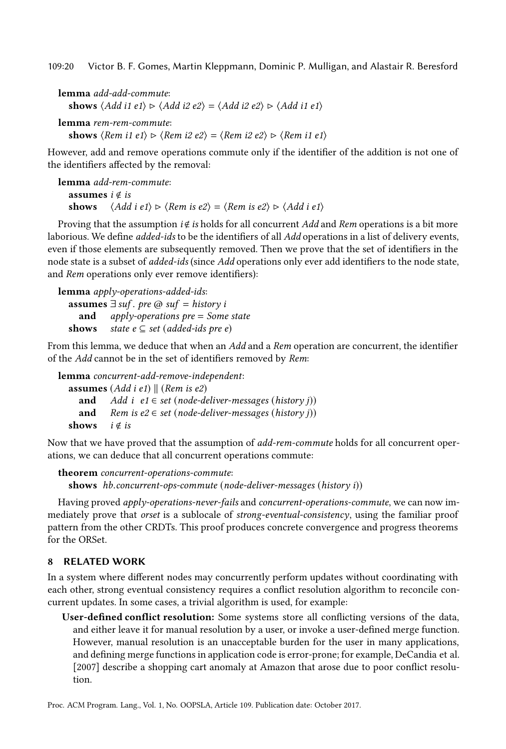109:20 Victor B. F. Gomes, Martin Kleppmann, Dominic P. Mulligan, and Alastair R. Beresford

lemma add-add-commute: shows  $\langle Add \text{ i1 } e1 \rangle \triangleright \langle Add \text{ i2 } e2 \rangle = \langle Add \text{ i2 } e2 \rangle \triangleright \langle Add \text{ i1 } e1 \rangle$ lemma rem-rem-commute: shows  $\langle Rem\ i1\ e1\rangle \rhd \langle Rem\ i2\ e2\rangle = \langle Rem\ i2\ e2\rangle \rhd \langle Rem\ i1\ e1\rangle$ 

However, add and remove operations commute only if the identifier of the addition is not one of the identifiers affected by the removal:

```
lemma add-rem-commute:
    assumes i \notin is
    shows \langle Add \text{ i } e1 \rangle \rhd \langle Rem \text{ is } e2 \rangle = \langle Rem \text{ is } e2 \rangle \rhd \langle Add \text{ i } e1 \rangle
```
Proving that the assumption  $i \notin \mathcal{B}$  is holds for all concurrent Add and Rem operations is a bit more laborious. We define *added-ids* to be the identifiers of all *Add* operations in a list of delivery events, even if those elements are subsequently removed. Then we prove that the set of identifiers in the node state is a subset of added-ids (since Add operations only ever add identifiers to the node state, and Rem operations only ever remove identifiers):

```
lemma apply-operations-added-ids:
  assumes ∃ suf. pre @ suf = history iand apply-operations pre = Some stateshows state e \subseteq set (added-ids pre e)
```
From this lemma, we deduce that when an Add and a Rem operation are concurrent, the identifier of the Add cannot be in the set of identifiers removed by Rem:

lemma concurrent-add-remove-independent:

```
assumes (Add \, i \, e1) \parallel (Rem \, is \, e2)and Add i e1 \in set (node-deliver-messages (history j))
  and Rem is e2 \in set (node-deliver-messages (history j))
shows i \notin is
```
Now that we have proved that the assumption of add-rem-commute holds for all concurrent operations, we can deduce that all concurrent operations commute:

theorem concurrent-operations-commute: shows hb.concurrent-ops-commute (node-deliver-messages (history i))

Having proved apply-operations-never-fails and concurrent-operations-commute, we can now immediately prove that orset is a sublocale of strong-eventual-consistency, using the familiar proof pattern from the other CRDTs. This proof produces concrete convergence and progress theorems for the ORSet.

## <span id="page-19-0"></span>8 RELATED WORK

In a system where different nodes may concurrently perform updates without coordinating with each other, strong eventual consistency requires a conflict resolution algorithm to reconcile concurrent updates. In some cases, a trivial algorithm is used, for example:

User-defined conflict resolution: Some systems store all conflicting versions of the data, and either leave it for manual resolution by a user, or invoke a user-defined merge function. However, manual resolution is an unacceptable burden for the user in many applications, and defining merge functions in application code is error-prone; for example, [DeCandia et al.](#page-25-7) [\[2007\]](#page-25-7) describe a shopping cart anomaly at Amazon that arose due to poor conflict resolution.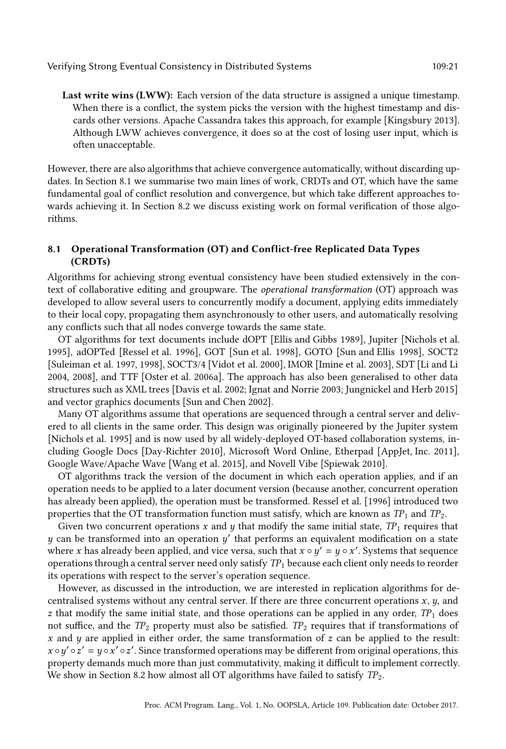Last write wins (LWW): Each version of the data structure is assigned a unique timestamp. When there is a conflict, the system picks the version with the highest timestamp and discards other versions. Apache Cassandra takes this approach, for example [\[Kingsbury 2013\]](#page-25-0). Although LWW achieves convergence, it does so at the cost of losing user input, which is often unacceptable.

However, there are also algorithms that achieve convergence automatically, without discarding updates. In Section [8.1](#page-20-0) we summarise two main lines of work, CRDTs and OT, which have the same fundamental goal of conflict resolution and convergence, but which take different approaches towards achieving it. In Section [8.2](#page-21-0) we discuss existing work on formal verification of those algorithms.

### <span id="page-20-0"></span>8.1 Operational Transformation (OT) and Conflict-free Replicated Data Types (CRDTs)

Algorithms for achieving strong eventual consistency have been studied extensively in the context of collaborative editing and groupware. The operational transformation (OT) approach was developed to allow several users to concurrently modify a document, applying edits immediately to their local copy, propagating them asynchronously to other users, and automatically resolving any conflicts such that all nodes converge towards the same state.

OT algorithms for text documents include dOPT [\[Ellis and Gibbs 1989\]](#page-25-8), Jupiter [\[Nichols et al.](#page-26-7) [1995](#page-26-7)], adOPTed [\[Ressel et al. 1996](#page-26-8)], GOT [\[Sun et al. 1998](#page-27-4)], GOTO [\[Sun and Ellis 1998\]](#page-27-5), SOCT2 [\[Suleiman et al. 1997,](#page-26-9) [1998\]](#page-26-10), SOCT3/4 [\[Vidot et al. 2000\]](#page-27-6), IMOR [\[Imine et al. 2003\]](#page-25-1), SDT [\[Li and Li](#page-25-9) [2004,](#page-25-9) [2008](#page-25-10)], and TTF [\[Oster et al. 2006a\]](#page-26-11). The approach has also been generalised to other data structures such as XML trees [\[Davis et al. 2002;](#page-24-14) [Ignat and Norrie 2003;](#page-25-11) [Jungnickel and Herb 2015\]](#page-25-12) and vector graphics documents [\[Sun and Chen 2002](#page-26-12)].

Many OT algorithms assume that operations are sequenced through a central server and delivered to all clients in the same order. This design was originally pioneered by the Jupiter system [\[Nichols et al. 1995\]](#page-26-7) and is now used by all widely-deployed OT-based collaboration systems, including Google Docs [\[Day-Richter 2010\]](#page-24-3), Microsoft Word Online, Etherpad [\[AppJet, Inc. 2011\]](#page-24-15), Google Wave/Apache Wave [\[Wang et al. 2015](#page-27-7)], and Novell Vibe [\[Spiewak 2010\]](#page-26-13).

OT algorithms track the version of the document in which each operation applies, and if an operation needs to be applied to a later document version (because another, concurrent operation has already been applied), the operation must be transformed. [Ressel et al. \[1996](#page-26-8)] introduced two properties that the OT transformation function must satisfy, which are known as  $TP_1$  and  $TP_2$ .

Given two concurrent operations x and y that modify the same initial state,  $TP_1$  requires that  $y$  can be transformed into an operation  $y'$  that performs an equivalent modification on a state where x has already been applied, and vice versa, such that  $x \circ y' = y \circ x'$ . Systems that sequence operations through a central server need only satisfy  $TP_1$  because each client only needs to reorder its operations with respect to the server's operation sequence.

However, as discussed in the introduction, we are interested in replication algorithms for decentralised systems without any central server. If there are three concurrent operations  $x$ ,  $y$ , and  $z$  that modify the same initial state, and those operations can be applied in any order,  $TP_1$  does not suffice, and the  $TP_2$  property must also be satisfied.  $TP_2$  requires that if transformations of  $x$  and  $y$  are applied in either order, the same transformation of  $z$  can be applied to the result:  $x \circ y' \circ z' = y \circ x' \circ z'$ . Since transformed operations may be different from original operations, this property demands much more than just commutativity, making it difficult to implement correctly. We show in Section [8.2](#page-21-0) how almost all OT algorithms have failed to satisfy  $TP_2$ .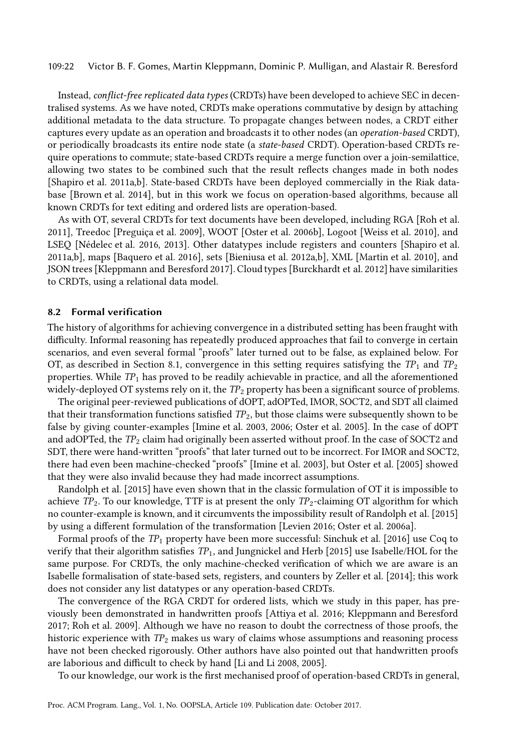109:22 Victor B. F. Gomes, Martin Kleppmann, Dominic P. Mulligan, and Alastair R. Beresford

Instead, conflict-free replicated data types (CRDTs) have been developed to achieve SEC in decentralised systems. As we have noted, CRDTs make operations commutative by design by attaching additional metadata to the data structure. To propagate changes between nodes, a CRDT either captures every update as an operation and broadcasts it to other nodes (an operation-based CRDT), or periodically broadcasts its entire node state (a state-based CRDT). Operation-based CRDTs require operations to commute; state-based CRDTs require a merge function over a join-semilattice, allowing two states to be combined such that the result reflects changes made in both nodes [\[Shapiro et al. 2011a](#page-26-2)[,b](#page-26-0)]. State-based CRDTs have been deployed commercially in the Riak database [\[Brown et al. 2014\]](#page-24-2), but in this work we focus on operation-based algorithms, because all known CRDTs for text editing and ordered lists are operation-based.

As with OT, several CRDTs for text documents have been developed, including RGA [\[Roh et al.](#page-26-6) [2011\]](#page-26-6), Treedoc [\[Preguiça et al. 2009](#page-26-14)], WOOT [\[Oster et al. 2006b\]](#page-26-15), Logoot [\[Weiss et al. 2010\]](#page-27-8), and LSEQ [\[Nédelec et al. 2016](#page-26-16), [2013\]](#page-26-17). Other datatypes include registers and counters [\[Shapiro et al.](#page-26-2) [2011a](#page-26-2)[,b\]](#page-26-0), maps [\[Baquero et al. 2016\]](#page-24-16), sets [\[Bieniusa et al. 2012a](#page-24-6)[,b](#page-24-7)], XML [\[Martin et al. 2010\]](#page-25-13), and JSON trees [\[Kleppmann and Beresford 2017\]](#page-25-14). Cloud types [\[Burckhardt et al. 2012](#page-24-17)] have similarities to CRDTs, using a relational data model.

#### <span id="page-21-0"></span>8.2 Formal verification

The history of algorithms for achieving convergence in a distributed setting has been fraught with difficulty. Informal reasoning has repeatedly produced approaches that fail to converge in certain scenarios, and even several formal "proofs" later turned out to be false, as explained below. For OT, as described in Section [8.1,](#page-20-0) convergence in this setting requires satisfying the  $TP_1$  and  $TP_2$ properties. While  $TP_1$  has proved to be readily achievable in practice, and all the aforementioned widely-deployed OT systems rely on it, the  $TP_2$  property has been a significant source of problems.

The original peer-reviewed publications of dOPT, adOPTed, IMOR, SOCT2, and SDT all claimed that their transformation functions satisfied  $TP_2$ , but those claims were subsequently shown to be false by giving counter-examples [\[Imine et al. 2003](#page-25-1), [2006;](#page-25-2) [Oster et al. 2005\]](#page-26-1). In the case of dOPT and adOPTed, the  $TP_2$  claim had originally been asserted without proof. In the case of SOCT2 and SDT, there were hand-written "proofs" that later turned out to be incorrect. For IMOR and SOCT2, there had even been machine-checked "proofs" [\[Imine et al. 2003\]](#page-25-1), but [Oster et al. \[2005\]](#page-26-1) showed that they were also invalid because they had made incorrect assumptions.

[Randolph et al. \[2015](#page-26-18)] have even shown that in the classic formulation of OT it is impossible to achieve  $TP_2$ . To our knowledge, TTF is at present the only  $TP_2$ -claiming OT algorithm for which no counter-example is known, and it circumvents the impossibility result of [Randolph et al. \[2015\]](#page-26-18) by using a different formulation of the transformation [\[Levien 2016;](#page-25-15) [Oster et al. 2006a](#page-26-11)].

Formal proofs of the  $TP_1$  property have been more successful: [Sinchuk et al. \[2016\]](#page-26-19) use Coq to verify that their algorithm satisfies  $TP_1$ , and [Jungnickel and Herb \[2015](#page-25-12)] use Isabelle/HOL for the same purpose. For CRDTs, the only machine-checked verification of which we are aware is an Isabelle formalisation of state-based sets, registers, and counters by [Zeller et al. \[2014](#page-27-3)]; this work does not consider any list datatypes or any operation-based CRDTs.

The convergence of the RGA CRDT for ordered lists, which we study in this paper, has previously been demonstrated in handwritten proofs [\[Attiya et al. 2016;](#page-24-4) [Kleppmann and Beresford](#page-25-14) [2017;](#page-25-14) [Roh et al. 2009](#page-26-20)]. Although we have no reason to doubt the correctness of those proofs, the historic experience with  $TP_2$  makes us wary of claims whose assumptions and reasoning process have not been checked rigorously. Other authors have also pointed out that handwritten proofs are laborious and difficult to check by hand [\[Li and Li 2008](#page-25-10), [2005\]](#page-25-16).

To our knowledge, our work is the first mechanised proof of operation-based CRDTs in general,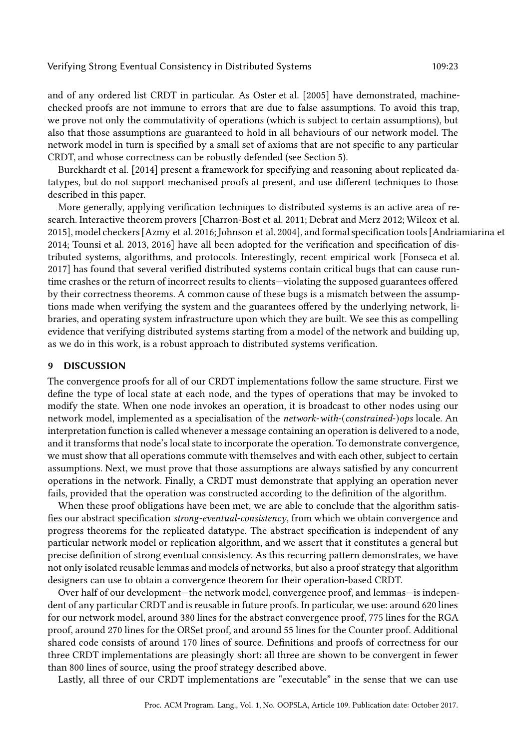and of any ordered list CRDT in particular. As [Oster et al. \[2005\]](#page-26-1) have demonstrated, machinechecked proofs are not immune to errors that are due to false assumptions. To avoid this trap, we prove not only the commutativity of operations (which is subject to certain assumptions), but also that those assumptions are guaranteed to hold in all behaviours of our network model. The network model in turn is specified by a small set of axioms that are not specific to any particular CRDT, and whose correctness can be robustly defended (see Section [5\)](#page-9-0).

[Burckhardt et al. \[2014\]](#page-24-18) present a framework for specifying and reasoning about replicated datatypes, but do not support mechanised proofs at present, and use different techniques to those described in this paper.

More generally, applying verification techniques to distributed systems is an active area of research. Interactive theorem provers [Charron-Bost et al. 2011; Debrat and Merz 2012; Wilcox et al. 2015], model checkers [Azmy et al. 2016; Johnson et al. 2004], and formal specification tools [Andriamiarina et al. 2014; Tounsi et al. 2013, 2016] have all been adopted for the verification and specification of distributed systems, algorithms, and protocols. Interestingly, recent empirical work [Fonseca et al. 2017] has found that several verified distributed systems contain critical bugs that can cause runtime crashes or the return of incorrect results to clients—violating the supposed guarantees offered by their correctness theorems. A common cause of these bugs is a mismatch between the assumptions made when verifying the system and the guarantees offered by the underlying network, libraries, and operating system infrastructure upon which they are built. We see this as compelling evidence that verifying distributed systems starting from a model of the network and building up, as we do in this work, is a robust approach to distributed systems verification.

#### 9 DISCUSSION

The convergence proofs for all of our CRDT implementations follow the same structure. First we define the type of local state at each node, and the types of operations that may be invoked to modify the state. When one node invokes an operation, it is broadcast to other nodes using our network model, implemented as a specialisation of the network-with-(constrained-)ops locale. An interpretation function is called whenever a message containing an operation is delivered to a node, and it transforms that node's local state to incorporate the operation. To demonstrate convergence, we must show that all operations commute with themselves and with each other, subject to certain assumptions. Next, we must prove that those assumptions are always satisfied by any concurrent operations in the network. Finally, a CRDT must demonstrate that applying an operation never fails, provided that the operation was constructed according to the definition of the algorithm.

When these proof obligations have been met, we are able to conclude that the algorithm satisfies our abstract specification strong-eventual-consistency, from which we obtain convergence and progress theorems for the replicated datatype. The abstract specification is independent of any particular network model or replication algorithm, and we assert that it constitutes a general but precise definition of strong eventual consistency. As this recurring pattern demonstrates, we have not only isolated reusable lemmas and models of networks, but also a proof strategy that algorithm designers can use to obtain a convergence theorem for their operation-based CRDT.

Over half of our development—the network model, convergence proof, and lemmas—is independent of any particular CRDT and is reusable in future proofs. In particular, we use: around 620 lines for our network model, around 380 lines for the abstract convergence proof, 775 lines for the RGA proof, around 270 lines for the ORSet proof, and around 55 lines for the Counter proof. Additional shared code consists of around 170 lines of source. Definitions and proofs of correctness for our three CRDT implementations are pleasingly short: all three are shown to be convergent in fewer than 800 lines of source, using the proof strategy described above.

Lastly, all three of our CRDT implementations are "executable" in the sense that we can use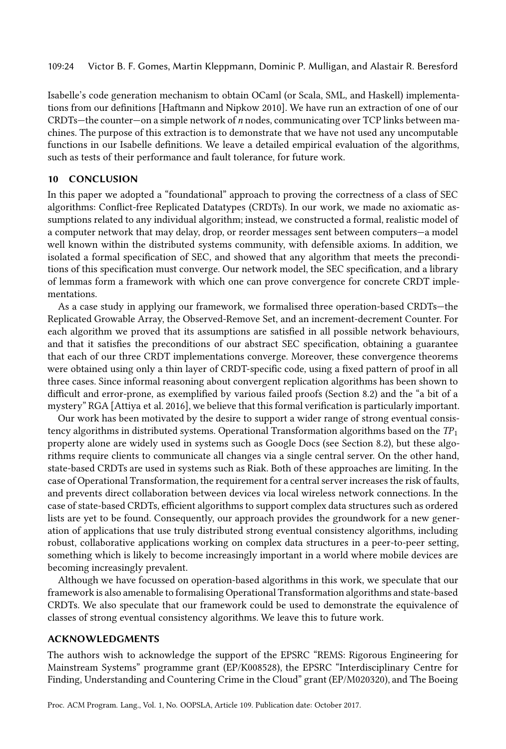109:24 Victor B. F. Gomes, Martin Kleppmann, Dominic P. Mulligan, and Alastair R. Beresford

Isabelle's code generation mechanism to obtain OCaml (or Scala, SML, and Haskell) implementations from our definitions [Haftmann and Nipkow 2010]. We have run an extraction of one of our CRDTs—the counter—on a simple network of  $n$  nodes, communicating over TCP links between machines. The purpose of this extraction is to demonstrate that we have not used any uncomputable functions in our Isabelle definitions. We leave a detailed empirical evaluation of the algorithms, such as tests of their performance and fault tolerance, for future work.

### 10 CONCLUSION

In this paper we adopted a "foundational" approach to proving the correctness of a class of SEC algorithms: Conflict-free Replicated Datatypes (CRDTs). In our work, we made no axiomatic assumptions related to any individual algorithm; instead, we constructed a formal, realistic model of a computer network that may delay, drop, or reorder messages sent between computers—a model well known within the distributed systems community, with defensible axioms. In addition, we isolated a formal specification of SEC, and showed that any algorithm that meets the preconditions of this specification must converge. Our network model, the SEC specification, and a library of lemmas form a framework with which one can prove convergence for concrete CRDT implementations.

As a case study in applying our framework, we formalised three operation-based CRDTs—the Replicated Growable Array, the Observed-Remove Set, and an increment-decrement Counter. For each algorithm we proved that its assumptions are satisfied in all possible network behaviours, and that it satisfies the preconditions of our abstract SEC specification, obtaining a guarantee that each of our three CRDT implementations converge. Moreover, these convergence theorems were obtained using only a thin layer of CRDT-specific code, using a fixed pattern of proof in all three cases. Since informal reasoning about convergent replication algorithms has been shown to difficult and error-prone, as exemplified by various failed proofs (Section [8.2\)](#page-21-0) and the "a bit of a mystery" RGA [\[Attiya et al. 2016\]](#page-24-4), we believe that this formal verification is particularly important.

Our work has been motivated by the desire to support a wider range of strong eventual consistency algorithms in distributed systems. Operational Transformation algorithms based on the  $TP_1$ property alone are widely used in systems such as Google Docs (see Section [8.2\)](#page-21-0), but these algorithms require clients to communicate all changes via a single central server. On the other hand, state-based CRDTs are used in systems such as Riak. Both of these approaches are limiting. In the case of Operational Transformation, the requirement for a central server increases the risk of faults, and prevents direct collaboration between devices via local wireless network connections. In the case of state-based CRDTs, efficient algorithms to support complex data structures such as ordered lists are yet to be found. Consequently, our approach provides the groundwork for a new generation of applications that use truly distributed strong eventual consistency algorithms, including robust, collaborative applications working on complex data structures in a peer-to-peer setting, something which is likely to become increasingly important in a world where mobile devices are becoming increasingly prevalent.

Although we have focussed on operation-based algorithms in this work, we speculate that our framework is also amenable to formalising Operational Transformation algorithms and state-based CRDTs. We also speculate that our framework could be used to demonstrate the equivalence of classes of strong eventual consistency algorithms. We leave this to future work.

### ACKNOWLEDGMENTS

The authors wish to acknowledge the support of the EPSRC "REMS: Rigorous Engineering for Mainstream Systems" programme grant (EP/K008528), the EPSRC "Interdisciplinary Centre for Finding, Understanding and Countering Crime in the Cloud" grant (EP/M020320), and The Boeing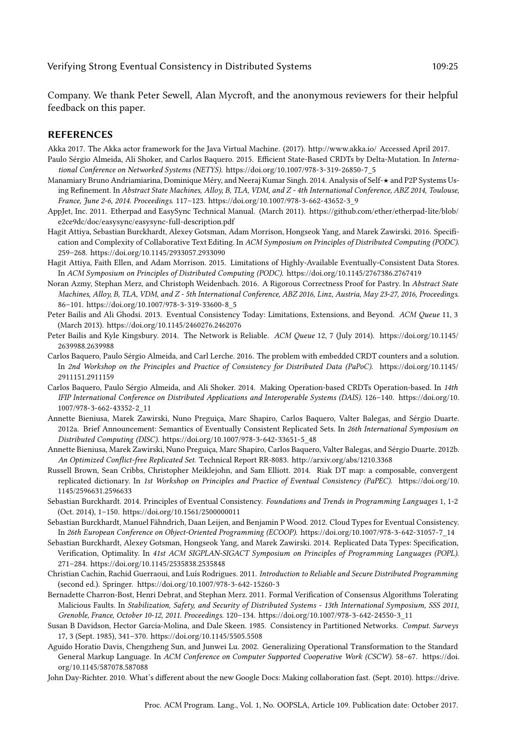Company. We thank Peter Sewell, Alan Mycroft, and the anonymous reviewers for their helpful feedback on this paper.

#### REFERENCES

<span id="page-24-5"></span>Akka 2017. The Akka actor framework for the Java Virtual Machine. (2017).<http://www.akka.io/> Accessed April 2017.

- <span id="page-24-8"></span>Paulo Sérgio Almeida, Ali Shoker, and Carlos Baquero. 2015. Efficient State-Based CRDTs by Delta-Mutation. In International Conference on Networked Systems (NETYS). [https://doi.org/10.1007/978-3-319-26850-7\\_5](https://doi.org/10.1007/978-3-319-26850-7_5)
- Manamiary Bruno Andriamiarina, Dominique Méry, and Neeraj Kumar Singh. 2014. Analysis of Self-★ and P2P Systems Using Refinement. In Abstract State Machines, Alloy, B, TLA, VDM, and Z - 4th International Conference, ABZ 2014, Toulouse, France, June 2-6, 2014. Proceedings. 117–123. [https://doi.org/10.1007/978-3-662-43652-3\\_9](https://doi.org/10.1007/978-3-662-43652-3_9)
- <span id="page-24-15"></span>AppJet, Inc. 2011. Etherpad and EasySync Technical Manual. (March 2011). [https://github.com/ether/etherpad-lite/blob/](https://github.com/ether/etherpad-lite/blob/e2ce9dc/doc/easysync/easysync-full-description.pdf) [e2ce9dc/doc/easysync/easysync-full-description.pdf](https://github.com/ether/etherpad-lite/blob/e2ce9dc/doc/easysync/easysync-full-description.pdf)
- <span id="page-24-4"></span>Hagit Attiya, Sebastian Burckhardt, Alexey Gotsman, Adam Morrison, Hongseok Yang, and Marek Zawirski. 2016. Specification and Complexity of Collaborative Text Editing. In ACM Symposium on Principles of Distributed Computing (PODC). 259–268.<https://doi.org/10.1145/2933057.2933090>
- <span id="page-24-10"></span>Hagit Attiya, Faith Ellen, and Adam Morrison. 2015. Limitations of Highly-Available Eventually-Consistent Data Stores. In ACM Symposium on Principles of Distributed Computing (PODC).<https://doi.org/10.1145/2767386.2767419>
- Noran Azmy, Stephan Merz, and Christoph Weidenbach. 2016. A Rigorous Correctness Proof for Pastry. In Abstract State Machines, Alloy, B, TLA, VDM, and Z - 5th International Conference, ABZ 2016, Linz, Austria, May 23-27, 2016, Proceedings. 86–101. [https://doi.org/10.1007/978-3-319-33600-8\\_5](https://doi.org/10.1007/978-3-319-33600-8_5)
- <span id="page-24-0"></span>Peter Bailis and Ali Ghodsi. 2013. Eventual Consistency Today: Limitations, Extensions, and Beyond. ACM Queue 11, 3 (March 2013).<https://doi.org/10.1145/2460276.2462076>
- <span id="page-24-12"></span>Peter Bailis and Kyle Kingsbury. 2014. The Network is Reliable. ACM Queue 12, 7 (July 2014). [https://doi.org/10.1145/](https://doi.org/10.1145/2639988.2639988) [2639988.2639988](https://doi.org/10.1145/2639988.2639988)
- <span id="page-24-16"></span>Carlos Baquero, Paulo Sérgio Almeida, and Carl Lerche. 2016. The problem with embedded CRDT counters and a solution. In 2nd Workshop on the Principles and Practice of Consistency for Distributed Data (PaPoC). [https://doi.org/10.1145/](https://doi.org/10.1145/2911151.2911159) [2911151.2911159](https://doi.org/10.1145/2911151.2911159)
- <span id="page-24-9"></span>Carlos Baquero, Paulo Sérgio Almeida, and Ali Shoker. 2014. Making Operation-based CRDTs Operation-based. In 14th IFIP International Conference on Distributed Applications and Interoperable Systems (DAIS). 126–140. [https://doi.org/10.](https://doi.org/10.1007/978-3-662-43352-2_11) [1007/978-3-662-43352-2\\_11](https://doi.org/10.1007/978-3-662-43352-2_11)
- <span id="page-24-6"></span>Annette Bieniusa, Marek Zawirski, Nuno Preguiça, Marc Shapiro, Carlos Baquero, Valter Balegas, and Sérgio Duarte. 2012a. Brief Announcement: Semantics of Eventually Consistent Replicated Sets. In 26th International Symposium on Distributed Computing (DISC). [https://doi.org/10.1007/978-3-642-33651-5\\_48](https://doi.org/10.1007/978-3-642-33651-5_48)
- <span id="page-24-7"></span>Annette Bieniusa, Marek Zawirski, Nuno Preguiça, Marc Shapiro, Carlos Baquero, Valter Balegas, and Sérgio Duarte. 2012b. An Optimized Conflict-free Replicated Set. Technical Report RR-8083.<http://arxiv.org/abs/1210.3368>
- <span id="page-24-2"></span>Russell Brown, Sean Cribbs, Christopher Meiklejohn, and Sam Elliott. 2014. Riak DT map: a composable, convergent replicated dictionary. In 1st Workshop on Principles and Practice of Eventual Consistency (PaPEC). [https://doi.org/10.](https://doi.org/10.1145/2596631.2596633) [1145/2596631.2596633](https://doi.org/10.1145/2596631.2596633)
- <span id="page-24-1"></span>Sebastian Burckhardt. 2014. Principles of Eventual Consistency. Foundations and Trends in Programming Languages 1, 1-2 (Oct. 2014), 1–150.<https://doi.org/10.1561/2500000011>
- <span id="page-24-17"></span>Sebastian Burckhardt, Manuel Fähndrich, Daan Leijen, and Benjamin P Wood. 2012. Cloud Types for Eventual Consistency. In 26th European Conference on Object-Oriented Programming (ECOOP). [https://doi.org/10.1007/978-3-642-31057-7\\_14](https://doi.org/10.1007/978-3-642-31057-7_14)
- <span id="page-24-18"></span>Sebastian Burckhardt, Alexey Gotsman, Hongseok Yang, and Marek Zawirski. 2014. Replicated Data Types: Specification, Verification, Optimality. In 41st ACM SIGPLAN-SIGACT Symposium on Principles of Programming Languages (POPL). 271–284.<https://doi.org/10.1145/2535838.2535848>
- <span id="page-24-13"></span>Christian Cachin, Rachid Guerraoui, and Luís Rodrigues. 2011. Introduction to Reliable and Secure Distributed Programming (second ed.). Springer.<https://doi.org/10.1007/978-3-642-15260-3>
- Bernadette Charron-Bost, Henri Debrat, and Stephan Merz. 2011. Formal Verification of Consensus Algorithms Tolerating Malicious Faults. In Stabilization, Safety, and Security of Distributed Systems - 13th International Symposium, SSS 2011, Grenoble, France, October 10-12, 2011. Proceedings. 120–134. [https://doi.org/10.1007/978-3-642-24550-3\\_11](https://doi.org/10.1007/978-3-642-24550-3_11)
- <span id="page-24-11"></span>Susan B Davidson, Hector Garcia-Molina, and Dale Skeen. 1985. Consistency in Partitioned Networks. Comput. Surveys 17, 3 (Sept. 1985), 341–370.<https://doi.org/10.1145/5505.5508>
- <span id="page-24-14"></span>Aguido Horatio Davis, Chengzheng Sun, and Junwei Lu. 2002. Generalizing Operational Transformation to the Standard General Markup Language. In ACM Conference on Computer Supported Cooperative Work (CSCW). 58–67. [https://doi.](https://doi.org/10.1145/587078.587088) [org/10.1145/587078.587088](https://doi.org/10.1145/587078.587088)
- <span id="page-24-3"></span>John Day-Richter. 2010. What's different about the new Google Docs: Making collaboration fast. (Sept. 2010). [https://drive.](https://drive.googleblog.com/2010/09/whats-different-about-new-google-docs.html)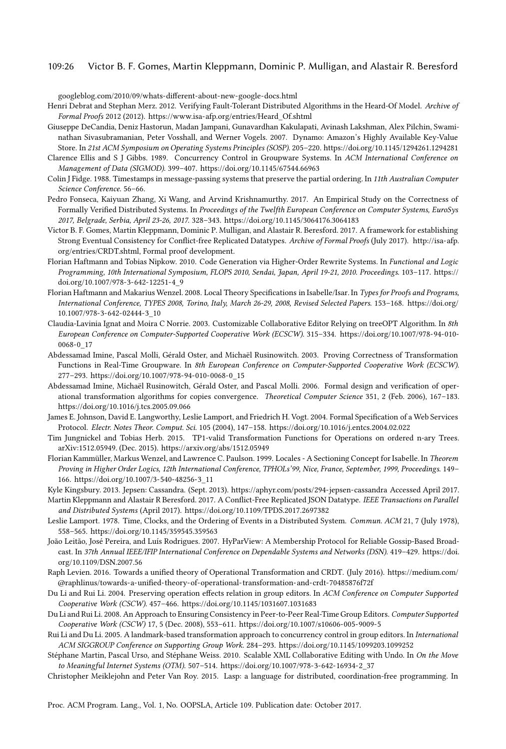#### 109:26 Victor B. F. Gomes, Martin Kleppmann, Dominic P. Mulligan, and Alastair R. Beresford

[googleblog.com/2010/09/whats-different-about-new-google-docs.html](https://drive.googleblog.com/2010/09/whats-different-about-new-google-docs.html)

- Henri Debrat and Stephan Merz. 2012. Verifying Fault-Tolerant Distributed Algorithms in the Heard-Of Model. Archive of Formal Proofs 2012 (2012). [https://www.isa-afp.org/entries/Heard\\_Of.shtml](https://www.isa-afp.org/entries/Heard_Of.shtml)
- <span id="page-25-7"></span>Giuseppe DeCandia, Deniz Hastorun, Madan Jampani, Gunavardhan Kakulapati, Avinash Lakshman, Alex Pilchin, Swaminathan Sivasubramanian, Peter Vosshall, and Werner Vogels. 2007. Dynamo: Amazon's Highly Available Key-Value Store. In 21st ACM Symposium on Operating Systems Principles (SOSP). 205–220.<https://doi.org/10.1145/1294261.1294281>
- <span id="page-25-8"></span>Clarence Ellis and S J Gibbs. 1989. Concurrency Control in Groupware Systems. In ACM International Conference on Management of Data (SIGMOD). 399–407.<https://doi.org/10.1145/67544.66963>
- <span id="page-25-6"></span>Colin J Fidge. 1988. Timestamps in message-passing systems that preserve the partial ordering. In 11th Australian Computer Science Conference. 56–66.
- Pedro Fonseca, Kaiyuan Zhang, Xi Wang, and Arvind Krishnamurthy. 2017. An Empirical Study on the Correctness of Formally Verified Distributed Systems. In Proceedings of the Twelfth European Conference on Computer Systems, EuroSys 2017, Belgrade, Serbia, April 23-26, 2017. 328–343.<https://doi.org/10.1145/3064176.3064183>
- <span id="page-25-3"></span>Victor B. F. Gomes, Martin Kleppmann, Dominic P. Mulligan, and Alastair R. Beresford. 2017. A framework for establishing Strong Eventual Consistency for Conflict-free Replicated Datatypes. Archive of Formal Proofs (July 2017). [http://isa-afp.](http://isa-afp.org/entries/CRDT.shtml) [org/entries/CRDT.shtml,](http://isa-afp.org/entries/CRDT.shtml) Formal proof development.
- Florian Haftmann and Tobias Nipkow. 2010. Code Generation via Higher-Order Rewrite Systems. In Functional and Logic Programming, 10th International Symposium, FLOPS 2010, Sendai, Japan, April 19-21, 2010. Proceedings. 103–117. [https://](https://doi.org/10.1007/978-3-642-12251-4_9) [doi.org/10.1007/978-3-642-12251-4\\_9](https://doi.org/10.1007/978-3-642-12251-4_9)
- Florian Haftmann and Makarius Wenzel. 2008. Local Theory Specifications in Isabelle/Isar. In Types for Proofs and Programs, International Conference, TYPES 2008, Torino, Italy, March 26-29, 2008, Revised Selected Papers. 153–168. [https://doi.org/](https://doi.org/10.1007/978-3-642-02444-3_10) [10.1007/978-3-642-02444-3\\_10](https://doi.org/10.1007/978-3-642-02444-3_10)
- <span id="page-25-11"></span>Claudia-Lavinia Ignat and Moira C Norrie. 2003. Customizable Collaborative Editor Relying on treeOPT Algorithm. In 8th European Conference on Computer-Supported Cooperative Work (ECSCW). 315–334. [https://doi.org/10.1007/978-94-010-](https://doi.org/10.1007/978-94-010-0068-0_17) [0068-0\\_17](https://doi.org/10.1007/978-94-010-0068-0_17)
- <span id="page-25-1"></span>Abdessamad Imine, Pascal Molli, Gérald Oster, and Michaël Rusinowitch. 2003. Proving Correctness of Transformation Functions in Real-Time Groupware. In 8th European Conference on Computer-Supported Cooperative Work (ECSCW). 277–293. [https://doi.org/10.1007/978-94-010-0068-0\\_15](https://doi.org/10.1007/978-94-010-0068-0_15)
- <span id="page-25-2"></span>Abdessamad Imine, Michaël Rusinowitch, Gérald Oster, and Pascal Molli. 2006. Formal design and verification of operational transformation algorithms for copies convergence. Theoretical Computer Science 351, 2 (Feb. 2006), 167–183. <https://doi.org/10.1016/j.tcs.2005.09.066>
- James E. Johnson, David E. Langworthy, Leslie Lamport, and Friedrich H. Vogt. 2004. Formal Specification of a Web Services Protocol. Electr. Notes Theor. Comput. Sci. 105 (2004), 147–158.<https://doi.org/10.1016/j.entcs.2004.02.022>
- <span id="page-25-12"></span>Tim Jungnickel and Tobias Herb. 2015. TP1-valid Transformation Functions for Operations on ordered n-ary Trees. arXiv:1512.05949. (Dec. 2015).<https://arxiv.org/abs/1512.05949>
- Florian Kammüller, Markus Wenzel, and Lawrence C. Paulson. 1999. Locales A Sectioning Concept for Isabelle. In Theorem Proving in Higher Order Logics, 12th International Conference, TPHOLs'99, Nice, France, September, 1999, Proceedings. 149– 166. [https://doi.org/10.1007/3-540-48256-3\\_11](https://doi.org/10.1007/3-540-48256-3_11)

<span id="page-25-0"></span>Kyle Kingsbury. 2013. Jepsen: Cassandra. (Sept. 2013).<https://aphyr.com/posts/294-jepsen-cassandra> Accessed April 2017.

- <span id="page-25-14"></span>Martin Kleppmann and Alastair R Beresford. 2017. A Conflict-Free Replicated JSON Datatype. IEEE Transactions on Parallel and Distributed Systems (April 2017).<https://doi.org/10.1109/TPDS.2017.2697382>
- <span id="page-25-4"></span>Leslie Lamport. 1978. Time, Clocks, and the Ordering of Events in a Distributed System. Commun. ACM 21, 7 (July 1978), 558–565.<https://doi.org/10.1145/359545.359563>
- <span id="page-25-5"></span>João Leitão, José Pereira, and Luís Rodrigues. 2007. HyParView: A Membership Protocol for Reliable Gossip-Based Broadcast. In 37th Annual IEEE/IFIP International Conference on Dependable Systems and Networks (DSN). 419–429. [https://doi.](https://doi.org/10.1109/DSN.2007.56) [org/10.1109/DSN.2007.56](https://doi.org/10.1109/DSN.2007.56)
- <span id="page-25-15"></span>Raph Levien. 2016. Towards a unified theory of Operational Transformation and CRDT. (July 2016). [https://medium.com/](https://medium.com/@raphlinus/towards-a-unified-theory-of-operational-transformation-and-crdt-70485876f72f) [@raphlinus/towards-a-unified-theory-of-operational- transformation-and-crdt-70485876f72f](https://medium.com/@raphlinus/towards-a-unified-theory-of-operational-transformation-and-crdt-70485876f72f)
- <span id="page-25-9"></span>Du Li and Rui Li. 2004. Preserving operation effects relation in group editors. In ACM Conference on Computer Supported Cooperative Work (CSCW). 457–466.<https://doi.org/10.1145/1031607.1031683>
- <span id="page-25-10"></span>Du Li and Rui Li. 2008. An Approach to Ensuring Consistency in Peer-to-Peer Real-Time Group Editors. Computer Supported Cooperative Work (CSCW) 17, 5 (Dec. 2008), 553–611.<https://doi.org/10.1007/s10606-005-9009-5>
- <span id="page-25-16"></span>Rui Li and Du Li. 2005. A landmark-based transformation approach to concurrency control in group editors. In International ACM SIGGROUP Conference on Supporting Group Work. 284–293.<https://doi.org/10.1145/1099203.1099252>
- <span id="page-25-13"></span>Stéphane Martin, Pascal Urso, and Stéphane Weiss. 2010. Scalable XML Collaborative Editing with Undo. In On the Move to Meaningful Internet Systems (OTM). 507–514. [https://doi.org/10.1007/978-3-642-16934-2\\_37](https://doi.org/10.1007/978-3-642-16934-2_37)
- Christopher Meiklejohn and Peter Van Roy. 2015. Lasp: a language for distributed, coordination-free programming. In

Proc. ACM Program. Lang., Vol. 1, No. OOPSLA, Article 109. Publication date: October 2017.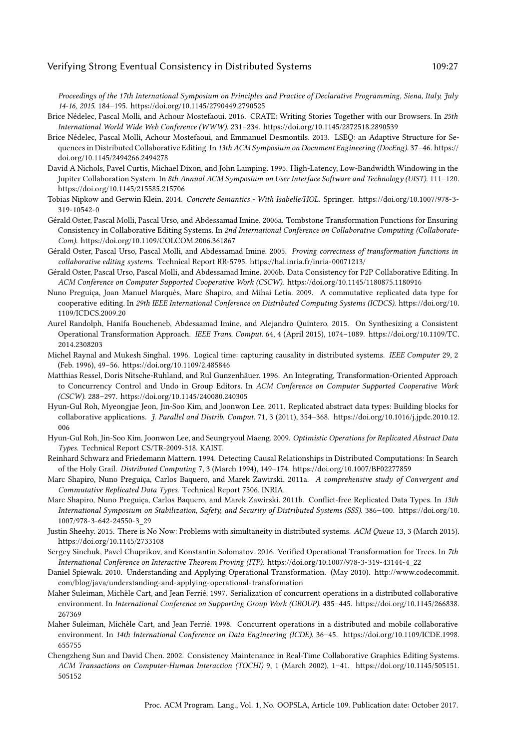Proceedings of the 17th International Symposium on Principles and Practice of Declarative Programming, Siena, Italy, July 14-16, 2015. 184–195.<https://doi.org/10.1145/2790449.2790525>

- <span id="page-26-16"></span>Brice Nédelec, Pascal Molli, and Achour Mostefaoui. 2016. CRATE: Writing Stories Together with our Browsers. In 25th International World Wide Web Conference (WWW). 231–234.<https://doi.org/10.1145/2872518.2890539>
- <span id="page-26-17"></span>Brice Nédelec, Pascal Molli, Achour Mostefaoui, and Emmanuel Desmontils. 2013. LSEQ: an Adaptive Structure for Sequences in Distributed Collaborative Editing. In 13th ACM Symposium on Document Engineering (DocEng). 37–46. [https://](https://doi.org/10.1145/2494266.2494278) [doi.org/10.1145/2494266.2494278](https://doi.org/10.1145/2494266.2494278)
- <span id="page-26-7"></span>David A Nichols, Pavel Curtis, Michael Dixon, and John Lamping. 1995. High-Latency, Low-Bandwidth Windowing in the Jupiter Collaboration System. In 8th Annual ACM Symposium on User Interface Software and Technology (UIST). 111–120. <https://doi.org/10.1145/215585.215706>
- Tobias Nipkow and Gerwin Klein. 2014. Concrete Semantics With Isabelle/HOL. Springer. [https://doi.org/10.1007/978-3-](https://doi.org/10.1007/978-3-319-10542-0) [319-10542-0](https://doi.org/10.1007/978-3-319-10542-0)
- <span id="page-26-11"></span>Gérald Oster, Pascal Molli, Pascal Urso, and Abdessamad Imine. 2006a. Tombstone Transformation Functions for Ensuring Consistency in Collaborative Editing Systems. In 2nd International Conference on Collaborative Computing (Collaborate-Com).<https://doi.org/10.1109/COLCOM.2006.361867>
- <span id="page-26-1"></span>Gérald Oster, Pascal Urso, Pascal Molli, and Abdessamad Imine. 2005. Proving correctness of transformation functions in collaborative editing systems. Technical Report RR-5795.<https://hal.inria.fr/inria-00071213/>
- <span id="page-26-15"></span>Gérald Oster, Pascal Urso, Pascal Molli, and Abdessamad Imine. 2006b. Data Consistency for P2P Collaborative Editing. In ACM Conference on Computer Supported Cooperative Work (CSCW).<https://doi.org/10.1145/1180875.1180916>
- <span id="page-26-14"></span>Nuno Preguiça, Joan Manuel Marquès, Marc Shapiro, and Mihai Letia. 2009. A commutative replicated data type for cooperative editing. In 29th IEEE International Conference on Distributed Computing Systems (ICDCS). [https://doi.org/10.](https://doi.org/10.1109/ICDCS.2009.20) [1109/ICDCS.2009.20](https://doi.org/10.1109/ICDCS.2009.20)
- <span id="page-26-18"></span>Aurel Randolph, Hanifa Boucheneb, Abdessamad Imine, and Alejandro Quintero. 2015. On Synthesizing a Consistent Operational Transformation Approach. IEEE Trans. Comput. 64, 4 (April 2015), 1074–1089. [https://doi.org/10.1109/TC.](https://doi.org/10.1109/TC.2014.2308203) [2014.2308203](https://doi.org/10.1109/TC.2014.2308203)
- <span id="page-26-4"></span>Michel Raynal and Mukesh Singhal. 1996. Logical time: capturing causality in distributed systems. IEEE Computer 29, 2 (Feb. 1996), 49–56.<https://doi.org/10.1109/2.485846>
- <span id="page-26-8"></span>Matthias Ressel, Doris Nitsche-Ruhland, and Rul Gunzenhäuer. 1996. An Integrating, Transformation-Oriented Approach to Concurrency Control and Undo in Group Editors. In ACM Conference on Computer Supported Cooperative Work (CSCW). 288–297.<https://doi.org/10.1145/240080.240305>
- <span id="page-26-6"></span>Hyun-Gul Roh, Myeongjae Jeon, Jin-Soo Kim, and Joonwon Lee. 2011. Replicated abstract data types: Building blocks for collaborative applications. J. Parallel and Distrib. Comput. 71, 3 (2011), 354–368. [https://doi.org/10.1016/j.jpdc.2010.12.](https://doi.org/10.1016/j.jpdc.2010.12.006) [006](https://doi.org/10.1016/j.jpdc.2010.12.006)
- <span id="page-26-20"></span>Hyun-Gul Roh, Jin-Soo Kim, Joonwon Lee, and Seungryoul Maeng. 2009. Optimistic Operations for Replicated Abstract Data Types. Technical Report CS/TR-2009-318. KAIST.
- <span id="page-26-5"></span>Reinhard Schwarz and Friedemann Mattern. 1994. Detecting Causal Relationships in Distributed Computations: In Search of the Holy Grail. Distributed Computing 7, 3 (March 1994), 149–174.<https://doi.org/10.1007/BF02277859>
- <span id="page-26-2"></span>Marc Shapiro, Nuno Preguiça, Carlos Baquero, and Marek Zawirski. 2011a. A comprehensive study of Convergent and Commutative Replicated Data Types. Technical Report 7506. INRIA.
- <span id="page-26-0"></span>Marc Shapiro, Nuno Preguiça, Carlos Baquero, and Marek Zawirski. 2011b. Conflict-free Replicated Data Types. In 13th International Symposium on Stabilization, Safety, and Security of Distributed Systems (SSS). 386–400. [https://doi.org/10.](https://doi.org/10.1007/978-3-642-24550-3_29) [1007/978-3-642-24550-3\\_29](https://doi.org/10.1007/978-3-642-24550-3_29)
- <span id="page-26-3"></span>Justin Sheehy. 2015. There is No Now: Problems with simultaneity in distributed systems. ACM Queue 13, 3 (March 2015). <https://doi.org/10.1145/2733108>
- <span id="page-26-19"></span>Sergey Sinchuk, Pavel Chuprikov, and Konstantin Solomatov. 2016. Verified Operational Transformation for Trees. In 7th International Conference on Interactive Theorem Proving (ITP). [https://doi.org/10.1007/978-3-319-43144-4\\_22](https://doi.org/10.1007/978-3-319-43144-4_22)
- <span id="page-26-13"></span>Daniel Spiewak. 2010. Understanding and Applying Operational Transformation. (May 2010). [http://www.codecommit.](http://www.codecommit.com/blog/java/understanding-and-applying-operational-transformation) [com/blog/java/understanding-and-applying-operational- transformation](http://www.codecommit.com/blog/java/understanding-and-applying-operational-transformation)
- <span id="page-26-9"></span>Maher Suleiman, Michèle Cart, and Jean Ferrié. 1997. Serialization of concurrent operations in a distributed collaborative environment. In International Conference on Supporting Group Work (GROUP). 435–445. [https://doi.org/10.1145/266838.](https://doi.org/10.1145/266838.267369) [267369](https://doi.org/10.1145/266838.267369)
- <span id="page-26-10"></span>Maher Suleiman, Michèle Cart, and Jean Ferrié. 1998. Concurrent operations in a distributed and mobile collaborative environment. In 14th International Conference on Data Engineering (ICDE). 36–45. [https://doi.org/10.1109/ICDE.1998.](https://doi.org/10.1109/ICDE.1998.655755) [655755](https://doi.org/10.1109/ICDE.1998.655755)
- <span id="page-26-12"></span>Chengzheng Sun and David Chen. 2002. Consistency Maintenance in Real-Time Collaborative Graphics Editing Systems. ACM Transactions on Computer-Human Interaction (TOCHI) 9, 1 (March 2002), 1–41. [https://doi.org/10.1145/505151.](https://doi.org/10.1145/505151.505152) [505152](https://doi.org/10.1145/505151.505152)